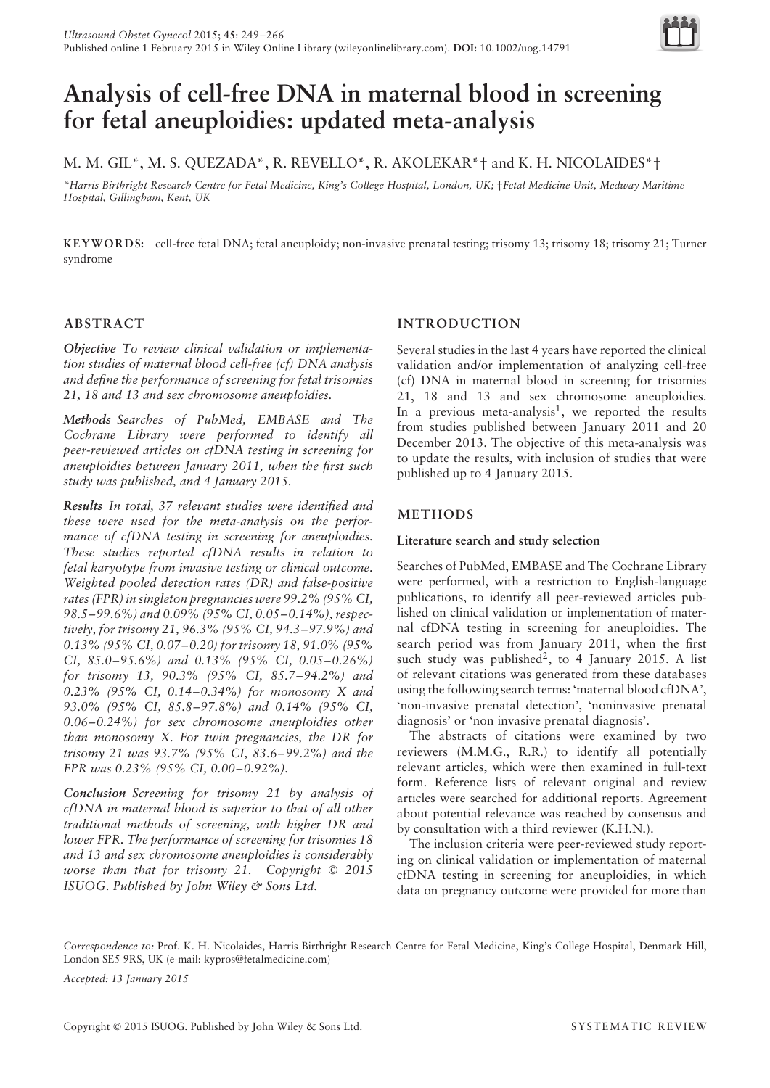

# **Analysis of cell-free DNA in maternal blood in screening for fetal aneuploidies: updated meta-analysis**

M. M. GIL\*, M. S. QUEZADA\*, R. REVELLO\*, R. AKOLEKAR\*† and K. H. NICOLAIDES\*†

*\*Harris Birthright Research Centre for Fetal Medicine, King's College Hospital, London, UK;* †*Fetal Medicine Unit, Medway Maritime Hospital, Gillingham, Kent, UK*

**KEYWORD S:** cell-free fetal DNA; fetal aneuploidy; non-invasive prenatal testing; trisomy 13; trisomy 18; trisomy 21; Turner syndrome

# **ABSTRACT**

*Objective To review clinical validation or implementation studies of maternal blood cell-free (cf) DNA analysis and define the performance of screening for fetal trisomies 21, 18 and 13 and sex chromosome aneuploidies.*

*Methods Searches of PubMed, EMBASE and The Cochrane Library were performed to identify all peer-reviewed articles on cfDNA testing in screening for aneuploidies between January 2011, when the first such study was published, and 4 January 2015.*

*Results In total, 37 relevant studies were identified and these were used for the meta-analysis on the performance of cfDNA testing in screening for aneuploidies. These studies reported cfDNA results in relation to fetal karyotype from invasive testing or clinical outcome. Weighted pooled detection rates (DR) and false-positive rates (FPR) in singleton pregnancies were 99.2% (95% CI, 98.5–99.6%) and 0.09% (95% CI, 0.05–0.14%), respectively, for trisomy 21, 96.3% (95% CI, 94.3–97.9%) and 0.13% (95% CI, 0.07–0.20) for trisomy 18, 91.0% (95% CI, 85.0–95.6%) and 0.13% (95% CI, 0.05–0.26%) for trisomy 13, 90.3% (95% CI, 85.7–94.2%) and 0.23% (95% CI, 0.14–0.34%) for monosomy X and 93.0% (95% CI, 85.8–97.8%) and 0.14% (95% CI, 0.06–0.24%) for sex chromosome aneuploidies other than monosomy X. For twin pregnancies, the DR for trisomy 21 was 93.7% (95% CI, 83.6–99.2%) and the FPR was 0.23% (95% CI, 0.00–0.92%).*

*Conclusion Screening for trisomy 21 by analysis of cfDNA in maternal blood is superior to that of all other traditional methods of screening, with higher DR and lower FPR. The performance of screening for trisomies 18 and 13 and sex chromosome aneuploidies is considerably worse than that for trisomy 21. Copyright* © *2015 ISUOG. Published by John Wiley & Sons Ltd.*

# **INTRODUCTION**

Several studies in the last 4 years have reported the clinical validation and/or implementation of analyzing cell-free (cf) DNA in maternal blood in screening for trisomies 21, 18 and 13 and sex chromosome aneuploidies. In a previous meta-analysis<sup>1</sup>, we reported the results from studies published between January 2011 and 20 December 2013. The objective of this meta-analysis was to update the results, with inclusion of studies that were published up to 4 January 2015.

# **METHODS**

# **Literature search and study selection**

Searches of PubMed, EMBASE and The Cochrane Library were performed, with a restriction to English-language publications, to identify all peer-reviewed articles published on clinical validation or implementation of maternal cfDNA testing in screening for aneuploidies. The search period was from January 2011, when the first such study was published<sup>2</sup>, to 4 January 2015. A list of relevant citations was generated from these databases using the following search terms: 'maternal blood cfDNA', 'non-invasive prenatal detection', 'noninvasive prenatal diagnosis' or 'non invasive prenatal diagnosis'.

The abstracts of citations were examined by two reviewers (M.M.G., R.R.) to identify all potentially relevant articles, which were then examined in full-text form. Reference lists of relevant original and review articles were searched for additional reports. Agreement about potential relevance was reached by consensus and by consultation with a third reviewer (K.H.N.).

The inclusion criteria were peer-reviewed study reporting on clinical validation or implementation of maternal cfDNA testing in screening for aneuploidies, in which data on pregnancy outcome were provided for more than

*Accepted: 13 January 2015*

*Correspondence to:* Prof. K. H. Nicolaides, Harris Birthright Research Centre for Fetal Medicine, King's College Hospital, Denmark Hill, London SE5 9RS, UK (e-mail: kypros@fetalmedicine.com)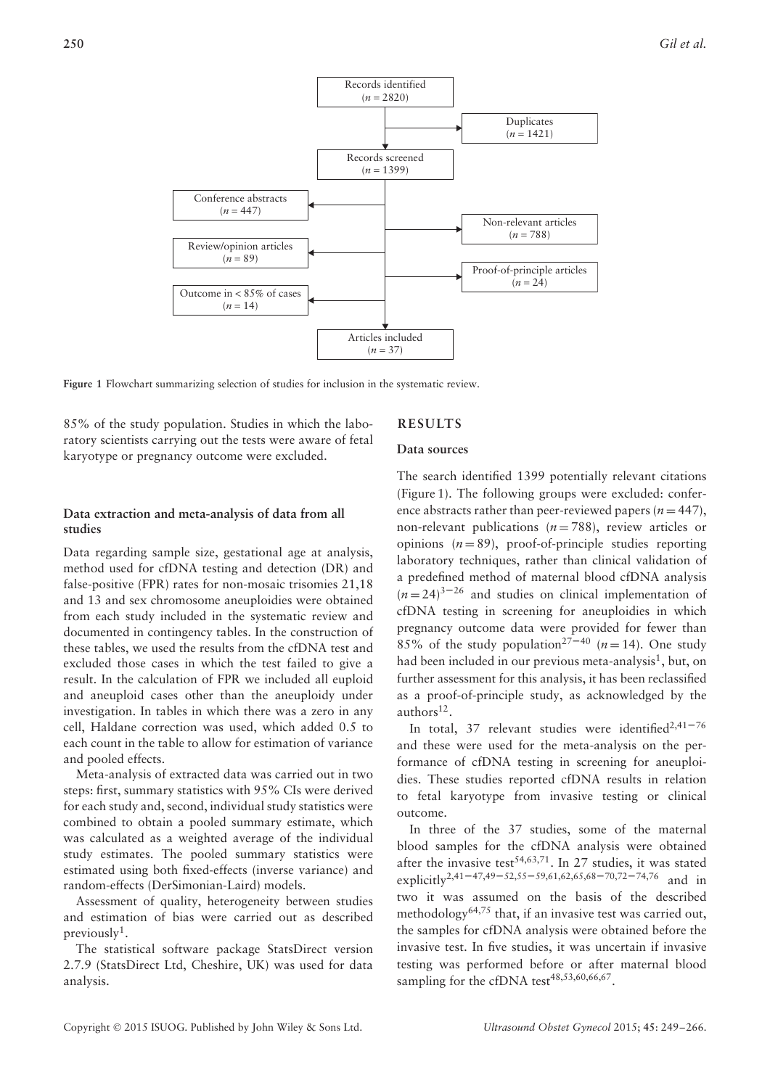

**Figure 1** Flowchart summarizing selection of studies for inclusion in the systematic review.

85% of the study population. Studies in which the laboratory scientists carrying out the tests were aware of fetal karyotype or pregnancy outcome were excluded.

# **RESULTS**

## **Data sources**

# **Data extraction and meta-analysis of data from all studies**

Data regarding sample size, gestational age at analysis, method used for cfDNA testing and detection (DR) and false-positive (FPR) rates for non-mosaic trisomies 21,18 and 13 and sex chromosome aneuploidies were obtained from each study included in the systematic review and documented in contingency tables. In the construction of these tables, we used the results from the cfDNA test and excluded those cases in which the test failed to give a result. In the calculation of FPR we included all euploid and aneuploid cases other than the aneuploidy under investigation. In tables in which there was a zero in any cell, Haldane correction was used, which added 0.5 to each count in the table to allow for estimation of variance and pooled effects.

Meta-analysis of extracted data was carried out in two steps: first, summary statistics with 95% CIs were derived for each study and, second, individual study statistics were combined to obtain a pooled summary estimate, which was calculated as a weighted average of the individual study estimates. The pooled summary statistics were estimated using both fixed-effects (inverse variance) and random-effects (DerSimonian-Laird) models.

Assessment of quality, heterogeneity between studies and estimation of bias were carried out as described previously<sup>1</sup>.

The statistical software package StatsDirect version 2.7.9 (StatsDirect Ltd, Cheshire, UK) was used for data analysis.

The search identified 1399 potentially relevant citations (Figure 1). The following groups were excluded: conference abstracts rather than peer-reviewed papers ( $n = 447$ ), non-relevant publications  $(n=788)$ , review articles or opinions  $(n = 89)$ , proof-of-principle studies reporting laboratory techniques, rather than clinical validation of a predefined method of maternal blood cfDNA analysis  $(n=24)^{3-26}$  and studies on clinical implementation of cfDNA testing in screening for aneuploidies in which pregnancy outcome data were provided for fewer than 85% of the study population<sup>27–40</sup> ( $n = 14$ ). One study had been included in our previous meta-analysis<sup>1</sup>, but, on further assessment for this analysis, it has been reclassified as a proof-of-principle study, as acknowledged by the authors $12$ .

In total, 37 relevant studies were identified<sup>2,41-76</sup> and these were used for the meta-analysis on the performance of cfDNA testing in screening for aneuploidies. These studies reported cfDNA results in relation to fetal karyotype from invasive testing or clinical outcome.

In three of the 37 studies, some of the maternal blood samples for the cfDNA analysis were obtained after the invasive test<sup>54,63,71</sup>. In 27 studies, it was stated explicitly2,41–47,49–52,55–59,61,62,65,68–70,72–74,76 and in two it was assumed on the basis of the described methodology<sup>64,75</sup> that, if an invasive test was carried out, the samples for cfDNA analysis were obtained before the invasive test. In five studies, it was uncertain if invasive testing was performed before or after maternal blood sampling for the cfDNA test<sup>48,53,60,66,67</sup>.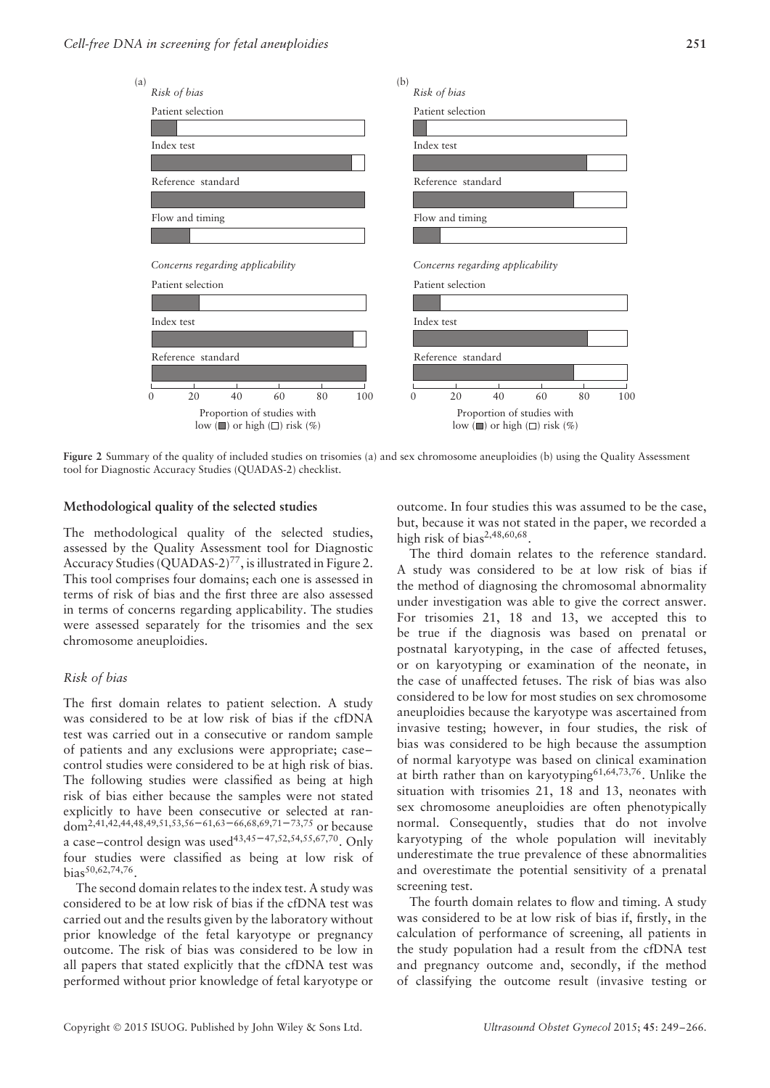

**Figure 2** Summary of the quality of included studies on trisomies (a) and sex chromosome aneuploidies (b) using the Quality Assessment tool for Diagnostic Accuracy Studies (QUADAS-2) checklist.

#### **Methodological quality of the selected studies**

The methodological quality of the selected studies, assessed by the Quality Assessment tool for Diagnostic Accuracy Studies (QUADAS-2)<sup>77</sup>, is illustrated in Figure 2. This tool comprises four domains; each one is assessed in terms of risk of bias and the first three are also assessed in terms of concerns regarding applicability. The studies were assessed separately for the trisomies and the sex chromosome aneuploidies.

#### *Risk of bias*

The first domain relates to patient selection. A study was considered to be at low risk of bias if the cfDNA test was carried out in a consecutive or random sample of patients and any exclusions were appropriate; case– control studies were considered to be at high risk of bias. The following studies were classified as being at high risk of bias either because the samples were not stated explicitly to have been consecutive or selected at random2,41,42,44,48,49,51,53,56–61,63–66,68,69,71–73,75 or because a case–control design was used<sup>43,45–47,52,54,55,67,70</sup>. Only four studies were classified as being at low risk of bias<sup>50,62,74,76</sup>.

The second domain relates to the index test. A study was considered to be at low risk of bias if the cfDNA test was carried out and the results given by the laboratory without prior knowledge of the fetal karyotype or pregnancy outcome. The risk of bias was considered to be low in all papers that stated explicitly that the cfDNA test was performed without prior knowledge of fetal karyotype or

outcome. In four studies this was assumed to be the case, but, because it was not stated in the paper, we recorded a high risk of bias<sup>2,48,60,68</sup>.

The third domain relates to the reference standard. A study was considered to be at low risk of bias if the method of diagnosing the chromosomal abnormality under investigation was able to give the correct answer. For trisomies 21, 18 and 13, we accepted this to be true if the diagnosis was based on prenatal or postnatal karyotyping, in the case of affected fetuses, or on karyotyping or examination of the neonate, in the case of unaffected fetuses. The risk of bias was also considered to be low for most studies on sex chromosome aneuploidies because the karyotype was ascertained from invasive testing; however, in four studies, the risk of bias was considered to be high because the assumption of normal karyotype was based on clinical examination at birth rather than on karyotyping<sup>61,64,73,76</sup>. Unlike the situation with trisomies 21, 18 and 13, neonates with sex chromosome aneuploidies are often phenotypically normal. Consequently, studies that do not involve karyotyping of the whole population will inevitably underestimate the true prevalence of these abnormalities and overestimate the potential sensitivity of a prenatal screening test.

The fourth domain relates to flow and timing. A study was considered to be at low risk of bias if, firstly, in the calculation of performance of screening, all patients in the study population had a result from the cfDNA test and pregnancy outcome and, secondly, if the method of classifying the outcome result (invasive testing or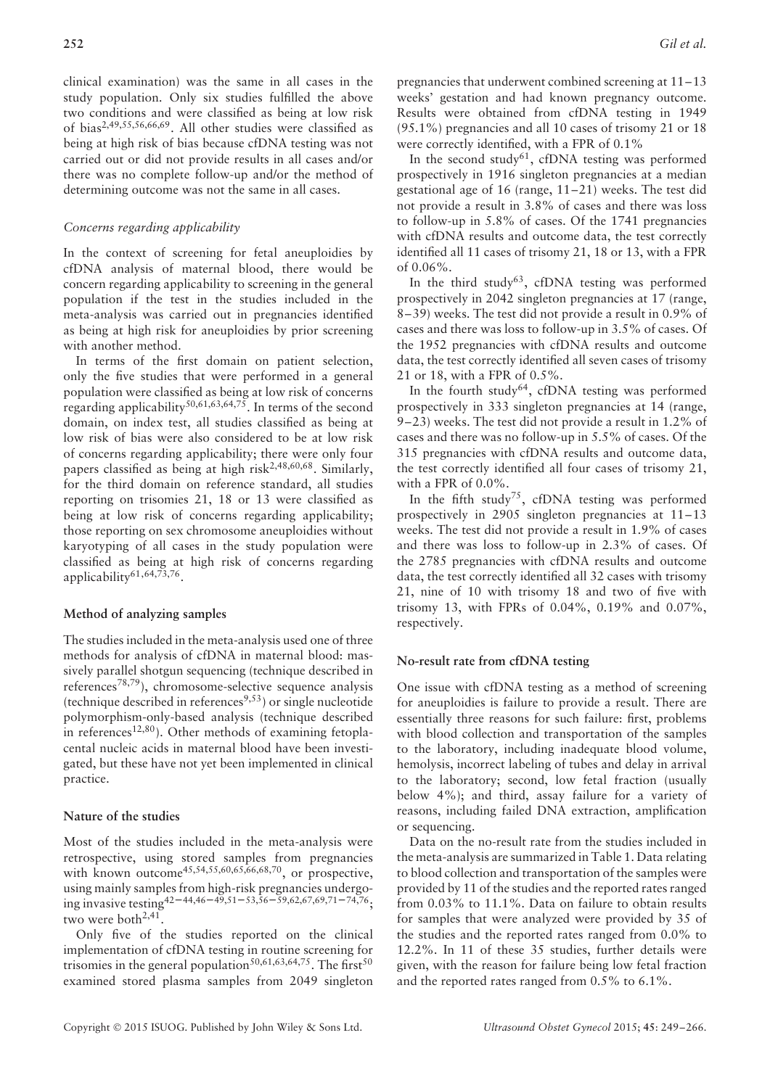clinical examination) was the same in all cases in the study population. Only six studies fulfilled the above two conditions and were classified as being at low risk of bias2,49,55,56,66,69. All other studies were classified as being at high risk of bias because cfDNA testing was not carried out or did not provide results in all cases and/or there was no complete follow-up and/or the method of determining outcome was not the same in all cases.

### *Concerns regarding applicability*

In the context of screening for fetal aneuploidies by cfDNA analysis of maternal blood, there would be concern regarding applicability to screening in the general population if the test in the studies included in the meta-analysis was carried out in pregnancies identified as being at high risk for aneuploidies by prior screening with another method.

In terms of the first domain on patient selection, only the five studies that were performed in a general population were classified as being at low risk of concerns regarding applicability<sup>50,61,63,64,75</sup>. In terms of the second domain, on index test, all studies classified as being at low risk of bias were also considered to be at low risk of concerns regarding applicability; there were only four papers classified as being at high risk2,48,60,68. Similarly, for the third domain on reference standard, all studies reporting on trisomies 21, 18 or 13 were classified as being at low risk of concerns regarding applicability; those reporting on sex chromosome aneuploidies without karyotyping of all cases in the study population were classified as being at high risk of concerns regarding applicability $61,64,73,76$ .

#### **Method of analyzing samples**

The studies included in the meta-analysis used one of three methods for analysis of cfDNA in maternal blood: massively parallel shotgun sequencing (technique described in references78,79), chromosome-selective sequence analysis (technique described in references<sup>9,53</sup>) or single nucleotide polymorphism-only-based analysis (technique described in references<sup>12,80</sup>). Other methods of examining fetoplacental nucleic acids in maternal blood have been investigated, but these have not yet been implemented in clinical practice.

#### **Nature of the studies**

Most of the studies included in the meta-analysis were retrospective, using stored samples from pregnancies with known outcome<sup>45,54,55,60,65,66,68,70</sup>, or prospective, using mainly samples from high-risk pregnancies undergoing invasive testing42–44,46–49,51–53,56–59,62,67,69,71–74,76; two were both<sup>2,41</sup>.

Only five of the studies reported on the clinical implementation of cfDNA testing in routine screening for trisomies in the general population<sup>50,61,63,64,75</sup>. The first<sup>50</sup> examined stored plasma samples from 2049 singleton pregnancies that underwent combined screening at 11–13 weeks' gestation and had known pregnancy outcome. Results were obtained from cfDNA testing in 1949 (95.1%) pregnancies and all 10 cases of trisomy 21 or 18 were correctly identified, with a FPR of 0.1%

In the second study<sup>61</sup>, cfDNA testing was performed prospectively in 1916 singleton pregnancies at a median gestational age of 16 (range, 11–21) weeks. The test did not provide a result in 3.8% of cases and there was loss to follow-up in 5.8% of cases. Of the 1741 pregnancies with cfDNA results and outcome data, the test correctly identified all 11 cases of trisomy 21, 18 or 13, with a FPR of 0.06%.

In the third study<sup>63</sup>, cfDNA testing was performed prospectively in 2042 singleton pregnancies at 17 (range, 8–39) weeks. The test did not provide a result in 0.9% of cases and there was loss to follow-up in 3.5% of cases. Of the 1952 pregnancies with cfDNA results and outcome data, the test correctly identified all seven cases of trisomy 21 or 18, with a FPR of 0.5%.

In the fourth study<sup>64</sup>, cfDNA testing was performed prospectively in 333 singleton pregnancies at 14 (range, 9–23) weeks. The test did not provide a result in 1.2% of cases and there was no follow-up in 5.5% of cases. Of the 315 pregnancies with cfDNA results and outcome data, the test correctly identified all four cases of trisomy 21, with a FPR of 0.0%.

In the fifth study<sup>75</sup>, cfDNA testing was performed prospectively in 2905 singleton pregnancies at 11–13 weeks. The test did not provide a result in 1.9% of cases and there was loss to follow-up in 2.3% of cases. Of the 2785 pregnancies with cfDNA results and outcome data, the test correctly identified all 32 cases with trisomy 21, nine of 10 with trisomy 18 and two of five with trisomy 13, with FPRs of 0.04%, 0.19% and 0.07%, respectively.

## **No-result rate from cfDNA testing**

One issue with cfDNA testing as a method of screening for aneuploidies is failure to provide a result. There are essentially three reasons for such failure: first, problems with blood collection and transportation of the samples to the laboratory, including inadequate blood volume, hemolysis, incorrect labeling of tubes and delay in arrival to the laboratory; second, low fetal fraction (usually below 4%); and third, assay failure for a variety of reasons, including failed DNA extraction, amplification or sequencing.

Data on the no-result rate from the studies included in the meta-analysis are summarized in Table 1. Data relating to blood collection and transportation of the samples were provided by 11 of the studies and the reported rates ranged from 0.03% to 11.1%. Data on failure to obtain results for samples that were analyzed were provided by 35 of the studies and the reported rates ranged from 0.0% to 12.2%. In 11 of these 35 studies, further details were given, with the reason for failure being low fetal fraction and the reported rates ranged from 0.5% to 6.1%.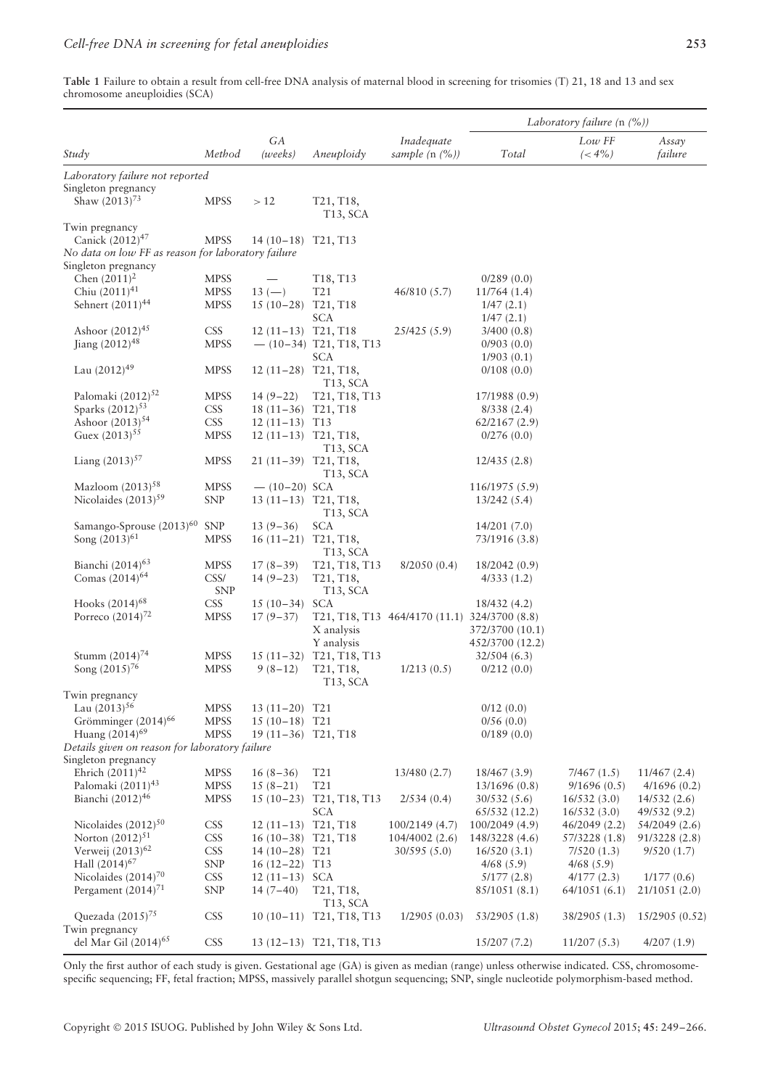**Table 1** Failure to obtain a result from cell-free DNA analysis of maternal blood in screening for trisomies (T) 21, 18 and 13 and sex chromosome aneuploidies (SCA)

|                                                                       |             |                             |                                                     |                                              |                 | Laboratory failure $(n \ (\%))$ |                  |
|-----------------------------------------------------------------------|-------------|-----------------------------|-----------------------------------------------------|----------------------------------------------|-----------------|---------------------------------|------------------|
| Study                                                                 | Method      | GA<br>(weeks)               | Aneuploidy                                          | Inadequate<br>sample $(n \, (%)$             | Total           | $Low$ $FF$<br>$(< 4\%)$         | Assay<br>failure |
| Laboratory failure not reported                                       |             |                             |                                                     |                                              |                 |                                 |                  |
| Singleton pregnancy                                                   |             |                             |                                                     |                                              |                 |                                 |                  |
| Shaw $(2013)^{73}$                                                    | <b>MPSS</b> | >12                         | T21, T18,<br>T <sub>13</sub> , SCA                  |                                              |                 |                                 |                  |
| Twin pregnancy                                                        |             |                             |                                                     |                                              |                 |                                 |                  |
| Canick $(2012)^{47}$                                                  | <b>MPSS</b> | $14(10-18)$                 | T <sub>21</sub> , T <sub>13</sub>                   |                                              |                 |                                 |                  |
| No data on low FF as reason for laboratory failure                    |             |                             |                                                     |                                              |                 |                                 |                  |
| Singleton pregnancy                                                   |             |                             |                                                     |                                              |                 |                                 |                  |
| Chen $(2011)^2$                                                       | <b>MPSS</b> |                             | T18, T13                                            |                                              | 0/289(0.0)      |                                 |                  |
| Chiu $(2011)^{41}$                                                    | <b>MPSS</b> | $13 (-)$                    | T <sub>21</sub>                                     | 46/810 (5.7)                                 | 11/764(1.4)     |                                 |                  |
| Sehnert (2011) <sup>44</sup>                                          | <b>MPSS</b> | $15(10-28)$                 | T <sub>21</sub> , T <sub>18</sub>                   |                                              | 1/47(2.1)       |                                 |                  |
|                                                                       |             |                             | SCA                                                 |                                              | 1/47(2.1)       |                                 |                  |
| Ashoor $(2012)^{45}$                                                  | <b>CSS</b>  | 12 (11-13) T21, T18         |                                                     | 25/425(5.9)                                  | 3/400(0.8)      |                                 |                  |
| Jiang $(2012)^{48}$                                                   | <b>MPSS</b> |                             | $-$ (10-34) T21, T18, T13                           |                                              | 0/903(0.0)      |                                 |                  |
|                                                                       |             |                             | SCA                                                 |                                              | 1/903(0.1)      |                                 |                  |
| Lau $(2012)^{49}$                                                     | <b>MPSS</b> | 12 (11-28) T21, T18,        |                                                     |                                              | 0/108(0.0)      |                                 |                  |
|                                                                       |             |                             | T <sub>13</sub> , SCA                               |                                              |                 |                                 |                  |
| Palomaki (2012) <sup>52</sup>                                         | <b>MPSS</b> | $14(9-22)$                  | T21, T18, T13                                       |                                              | 17/1988 (0.9)   |                                 |                  |
| Sparks (2012) <sup>53</sup><br>Ashoor $(2013)^{54}$                   | <b>CSS</b>  | 18 (11-36) T21, T18         |                                                     |                                              | 8/338(2.4)      |                                 |                  |
| Guex $(2013)^{55}$                                                    | <b>CSS</b>  | $12(11-13)$                 | T <sub>13</sub>                                     |                                              | 62/2167(2.9)    |                                 |                  |
|                                                                       | <b>MPSS</b> | 12 (11-13) T21, T18,        | T <sub>13</sub> , SCA                               |                                              | 0/276(0.0)      |                                 |                  |
| Liang $(2013)^{57}$                                                   | <b>MPSS</b> | $21(11-39)$                 | T21, T18,                                           |                                              | 12/435(2.8)     |                                 |                  |
|                                                                       |             |                             | T13, SCA                                            |                                              |                 |                                 |                  |
| Mazloom $(2013)^{58}$                                                 | <b>MPSS</b> | $- (10-20)$ SCA             |                                                     |                                              | 116/1975 (5.9)  |                                 |                  |
| Nicolaides (2013) <sup>59</sup>                                       | <b>SNP</b>  | $13(11-13)$ T21, T18,       |                                                     |                                              | 13/242(5.4)     |                                 |                  |
|                                                                       |             |                             | T13, SCA                                            |                                              |                 |                                 |                  |
| Samango-Sprouse $(2013)^{60}$                                         | <b>SNP</b>  | $13(9-36)$                  | <b>SCA</b>                                          |                                              | 14/201(7.0)     |                                 |                  |
| Song $(2013)^{61}$                                                    | <b>MPSS</b> | $16(11-21)$                 | T <sub>21</sub> , T <sub>18</sub> ,                 |                                              | 73/1916 (3.8)   |                                 |                  |
|                                                                       |             |                             | T <sub>13</sub> , SCA                               |                                              |                 |                                 |                  |
| Bianchi (2014) <sup>63</sup>                                          | <b>MPSS</b> | $17(8-39)$                  | T <sub>21</sub> , T <sub>18</sub> , T <sub>13</sub> | 8/2050(0.4)                                  | 18/2042 (0.9)   |                                 |                  |
| Comas (2014) <sup>64</sup>                                            | CSS/        | $14(9-23)$                  | T <sub>21</sub> , T <sub>18</sub> ,                 |                                              | 4/333(1.2)      |                                 |                  |
|                                                                       | <b>SNP</b>  |                             | T <sub>13</sub> , SCA                               |                                              |                 |                                 |                  |
| Hooks (2014) <sup>68</sup>                                            | <b>CSS</b>  | $15(10-34)$                 | <b>SCA</b>                                          |                                              | 18/432 (4.2)    |                                 |                  |
| Porreco $(2014)^{72}$                                                 | <b>MPSS</b> | $17(9-37)$                  |                                                     | T21, T18, T13 464/4170 (11.1) 324/3700 (8.8) |                 |                                 |                  |
|                                                                       |             |                             | X analysis                                          |                                              | 372/3700 (10.1) |                                 |                  |
|                                                                       |             |                             | Y analysis                                          |                                              | 452/3700 (12.2) |                                 |                  |
| Stumm $(2014)^{74}$                                                   | <b>MPSS</b> | $15(11-32)$                 | T21, T18, T13                                       |                                              | 32/504(6.3)     |                                 |                  |
| Song $(2015)^{76}$                                                    | <b>MPSS</b> | $9(8-12)$                   | T <sub>21</sub> , T <sub>18</sub> ,                 | 1/213(0.5)                                   | 0/212(0.0)      |                                 |                  |
|                                                                       |             |                             | T13, SCA                                            |                                              |                 |                                 |                  |
| Twin pregnancy                                                        |             |                             |                                                     |                                              |                 |                                 |                  |
| Lau $(2013)^{56}$<br>Grömminger (2014) <sup>66</sup>                  | <b>MPSS</b> | $13(11-20)$                 | T <sub>21</sub>                                     |                                              | 0/12(0.0)       |                                 |                  |
| Huang (2014) <sup>69</sup>                                            | <b>MPSS</b> | $15(10-18)$ T <sub>21</sub> |                                                     |                                              | 0/56(0.0)       |                                 |                  |
|                                                                       | <b>MPSS</b> | 19 (11-36) T21, T18         |                                                     |                                              | 0/189(0.0)      |                                 |                  |
| Details given on reason for laboratory failure<br>Singleton pregnancy |             |                             |                                                     |                                              |                 |                                 |                  |
| Ehrich $(2011)^{42}$                                                  | <b>MPSS</b> | $16(8-36)$                  | T <sub>21</sub>                                     | 13/480 (2.7)                                 | 18/467 (3.9)    | 7/467(1.5)                      | 11/467(2.4)      |
| Palomaki (2011) <sup>43</sup>                                         | <b>MPSS</b> | $15(8-21)$                  | T21                                                 |                                              | 13/1696 (0.8)   | 9/1696(0.5)                     | 4/1696(0.2)      |
| Bianchi (2012) <sup>46</sup>                                          | <b>MPSS</b> | $15(10-23)$                 | T21, T18, T13                                       | 2/534(0.4)                                   | 30/532(5.6)     | 16/532(3.0)                     | 14/532(2.6)      |
|                                                                       |             |                             | <b>SCA</b>                                          |                                              | 65/532(12.2)    | 16/532(3.0)                     | 49/532 (9.2)     |
| Nicolaides $(2012)^{50}$                                              | <b>CSS</b>  | $12(11-13)$                 | T <sub>21</sub> , T <sub>18</sub>                   | 100/2149 (4.7)                               | 100/2049 (4.9)  | 46/2049 (2.2)                   | 54/2049 (2.6)    |
| Norton $(2012)^{51}$                                                  | <b>CSS</b>  | $16(10-38)$                 | T <sub>21</sub> , T <sub>18</sub>                   | 104/4002 (2.6)                               | 148/3228 (4.6)  | 57/3228 (1.8)                   | 91/3228 (2.8)    |
| Verweij $(2013)^{62}$                                                 | <b>CSS</b>  | $14(10-28)$                 | T <sub>21</sub>                                     | 30/595(5.0)                                  | 16/520(3.1)     | 7/520(1.3)                      | 9/520(1.7)       |
| Hall $(2014)^{67}$                                                    | <b>SNP</b>  | $16(12-22)$                 | T <sub>13</sub>                                     |                                              | $4/68$ (5.9)    | $4/68$ (5.9)                    |                  |
| Nicolaides $(2014)^{70}$                                              | <b>CSS</b>  | $12(11-13)$                 | <b>SCA</b>                                          |                                              | 5/177(2.8)      | 4/177(2.3)                      | 1/177(0.6)       |
| Pergament $(2014)^{71}$                                               | <b>SNP</b>  | $14(7-40)$                  | T21, T18,                                           |                                              | 85/1051 (8.1)   | 64/1051(6.1)                    | 21/1051(2.0)     |
|                                                                       |             |                             | T <sub>13</sub> , SCA                               |                                              |                 |                                 |                  |
| Quezada $(2015)^{75}$                                                 | <b>CSS</b>  |                             | 10 (10-11) T21, T18, T13                            | 1/2905(0.03)                                 | 53/2905 (1.8)   | 38/2905 (1.3)                   | 15/2905 (0.52)   |
| Twin pregnancy                                                        |             |                             |                                                     |                                              |                 |                                 |                  |
| del Mar Gil $(2014)^{65}$                                             | <b>CSS</b>  |                             | 13 (12-13) T21, T18, T13                            |                                              | 15/207(7.2)     | 11/207(5.3)                     | 4/207(1.9)       |

Only the first author of each study is given. Gestational age (GA) is given as median (range) unless otherwise indicated. CSS, chromosomespecific sequencing; FF, fetal fraction; MPSS, massively parallel shotgun sequencing; SNP, single nucleotide polymorphism-based method.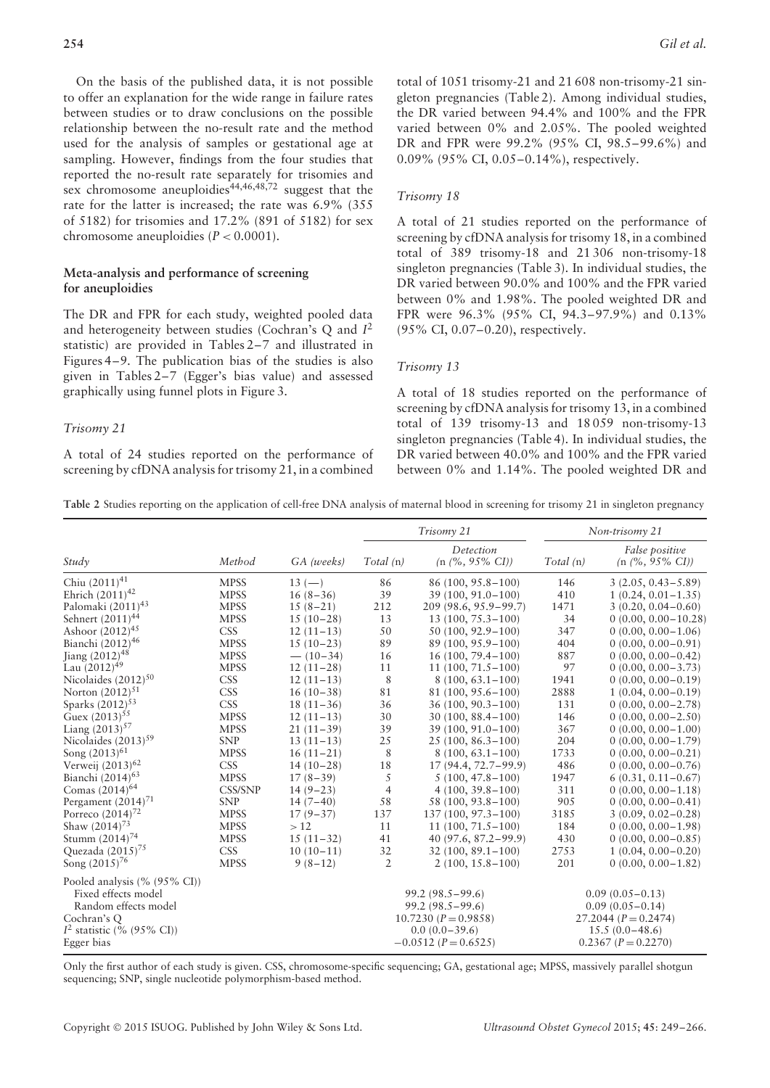On the basis of the published data, it is not possible to offer an explanation for the wide range in failure rates between studies or to draw conclusions on the possible relationship between the no-result rate and the method used for the analysis of samples or gestational age at sampling. However, findings from the four studies that reported the no-result rate separately for trisomies and sex chromosome aneuploidies<sup>44,46,48,72</sup> suggest that the rate for the latter is increased; the rate was 6.9% (355 of 5182) for trisomies and 17.2% (891 of 5182) for sex chromosome aneuploidies  $(P < 0.0001)$ .

# **Meta-analysis and performance of screening for aneuploidies**

The DR and FPR for each study, weighted pooled data and heterogeneity between studies (Cochran's Q and *I*<sup>2</sup> statistic) are provided in Tables 2–7 and illustrated in Figures 4–9. The publication bias of the studies is also given in Tables 2–7 (Egger's bias value) and assessed graphically using funnel plots in Figure 3.

#### *Trisomy 21*

A total of 24 studies reported on the performance of screening by cfDNA analysis for trisomy 21, in a combined

total of 1051 trisomy-21 and 21 608 non-trisomy-21 singleton pregnancies (Table 2). Among individual studies, the DR varied between 94.4% and 100% and the FPR varied between 0% and 2.05%. The pooled weighted DR and FPR were 99.2% (95% CI, 98.5–99.6%) and 0.09% (95% CI, 0.05–0.14%), respectively.

#### *Trisomy 18*

A total of 21 studies reported on the performance of screening by cfDNA analysis for trisomy 18, in a combined total of 389 trisomy-18 and 21 306 non-trisomy-18 singleton pregnancies (Table 3). In individual studies, the DR varied between 90.0% and 100% and the FPR varied between 0% and 1.98%. The pooled weighted DR and FPR were 96.3% (95% CI, 94.3–97.9%) and 0.13% (95% CI, 0.07–0.20), respectively.

#### *Trisomy 13*

A total of 18 studies reported on the performance of screening by cfDNA analysis for trisomy 13, in a combined total of 139 trisomy-13 and 18 059 non-trisomy-13 singleton pregnancies (Table 4). In individual studies, the DR varied between 40.0% and 100% and the FPR varied between 0% and 1.14%. The pooled weighted DR and

**Table 2** Studies reporting on the application of cell-free DNA analysis of maternal blood in screening for trisomy 21 in singleton pregnancy

|                                                                                                                           |             |             |                | Trisomy 21                                                                               |           | Non-trisomy 21                                                                             |
|---------------------------------------------------------------------------------------------------------------------------|-------------|-------------|----------------|------------------------------------------------------------------------------------------|-----------|--------------------------------------------------------------------------------------------|
| Study                                                                                                                     | Method      | GA (weeks)  | Total(n)       | Detection<br>$(n \ (\%, 95\% \ CI))$                                                     | Total (n) | False positive<br>$(n \ (\%, 95\% \ CI))$                                                  |
| Chiu $(2011)^{41}$                                                                                                        | <b>MPSS</b> | $13 (-)$    | 86             | $86(100, 95.8 - 100)$                                                                    | 146       | $3(2.05, 0.43 - 5.89)$                                                                     |
| Ehrich $(2011)^{42}$                                                                                                      | <b>MPSS</b> | $16(8-36)$  | 39             | 39 (100, 91.0-100)                                                                       | 410       | $1(0.24, 0.01-1.35)$                                                                       |
| Palomaki $(2011)^{43}$                                                                                                    | <b>MPSS</b> | $15(8-21)$  | 212            | 209 (98.6, 95.9–99.7)                                                                    | 1471      | $3(0.20, 0.04 - 0.60)$                                                                     |
| Sehnert (2011) <sup>44</sup>                                                                                              | <b>MPSS</b> | $15(10-28)$ | 13             | $13(100, 75.3 - 100)$                                                                    | 34        | $0(0.00, 0.00 - 10.28)$                                                                    |
| Ashoor $(2012)^{45}$                                                                                                      | <b>CSS</b>  | $12(11-13)$ | 50             | $50(100, 92.9 - 100)$                                                                    | 347       | $0(0.00, 0.00 - 1.06)$                                                                     |
| Bianchi $(2012)^{46}$                                                                                                     | <b>MPSS</b> | $15(10-23)$ | 89             | 89 (100, 95.9 – 100)                                                                     | 404       | $0(0.00, 0.00 - 0.91)$                                                                     |
| Jiang (2012) <sup>48</sup>                                                                                                | <b>MPSS</b> | $- (10-34)$ | 16             | $16(100, 79.4 - 100)$                                                                    | 887       | $0(0.00, 0.00 - 0.42)$                                                                     |
| Lau $(2012)^{49}$                                                                                                         | <b>MPSS</b> | $12(11-28)$ | 11             | $11(100, 71.5 - 100)$                                                                    | 97        | $0(0.00, 0.00 - 3.73)$                                                                     |
| Nicolaides $(2012)^{50}$                                                                                                  | <b>CSS</b>  | $12(11-13)$ | 8              | $8(100, 63.1 - 100)$                                                                     | 1941      | $0(0.00, 0.00 - 0.19)$                                                                     |
| Norton $(2012)^{51}$                                                                                                      | <b>CSS</b>  | $16(10-38)$ | 81             | $81(100, 95.6 - 100)$                                                                    | 2888      | $1(0.04, 0.00 - 0.19)$                                                                     |
| Sparks (2012) <sup>53</sup>                                                                                               | <b>CSS</b>  | $18(11-36)$ | 36             | $36(100, 90.3 - 100)$                                                                    | 131       | $0(0.00, 0.00 - 2.78)$                                                                     |
| Guex $(2013)^{55}$                                                                                                        | <b>MPSS</b> | $12(11-13)$ | 30             | $30(100, 88.4 - 100)$                                                                    | 146       | $0(0.00, 0.00 - 2.50)$                                                                     |
| Liang $(2013)^{57}$                                                                                                       | <b>MPSS</b> | $21(11-39)$ | 39             | $39(100, 91.0 - 100)$                                                                    | 367       | $0(0.00, 0.00 - 1.00)$                                                                     |
| Nicolaides $(2013)^{59}$                                                                                                  | <b>SNP</b>  | $13(11-13)$ | 25             | $25(100, 86.3 - 100)$                                                                    | 204       | $0(0.00, 0.00 - 1.79)$                                                                     |
| Song (2013) <sup>61</sup>                                                                                                 | <b>MPSS</b> | $16(11-21)$ | 8              | $8(100, 63.1 - 100)$                                                                     | 1733      | $0(0.00, 0.00 - 0.21)$                                                                     |
| Verweij (2013) <sup>62</sup>                                                                                              | <b>CSS</b>  | $14(10-28)$ | 18             | 17 (94.4, 72.7–99.9)                                                                     | 486       | $0(0.00, 0.00 - 0.76)$                                                                     |
| Bianchi $(2014)^{63}$                                                                                                     | <b>MPSS</b> | $17(8-39)$  | 5              | $5(100, 47.8 - 100)$                                                                     | 1947      | $6(0.31, 0.11 - 0.67)$                                                                     |
| Comas $(2014)^{64}$                                                                                                       | CSS/SNP     | $14(9-23)$  | $\overline{4}$ | $4(100, 39.8 - 100)$                                                                     | 311       | $0(0.00, 0.00 - 1.18)$                                                                     |
| Pergament $(2014)^{71}$                                                                                                   | <b>SNP</b>  | $14(7-40)$  | 58             | 58 (100, 93.8 – 100)                                                                     | 905       | $0(0.00, 0.00 - 0.41)$                                                                     |
| Porreco $(2014)^{72}$                                                                                                     | <b>MPSS</b> | $17(9-37)$  | 137            | $137(100, 97.3 - 100)$                                                                   | 3185      | $3(0.09, 0.02 - 0.28)$                                                                     |
| Shaw $(2014)^{73}$                                                                                                        | <b>MPSS</b> | >12         | 11             | $11(100, 71.5 - 100)$                                                                    | 184       | $0(0.00, 0.00 - 1.98)$                                                                     |
| Stumm $(2014)^{74}$                                                                                                       | <b>MPSS</b> | $15(11-32)$ | 41             | $40(97.6, 87.2 - 99.9)$                                                                  | 430       | $0(0.00, 0.00 - 0.85)$                                                                     |
| Quezada $(2015)^{75}$                                                                                                     | <b>CSS</b>  | $10(10-11)$ | 32             | $32(100, 89.1 - 100)$                                                                    | 2753      | $1(0.04, 0.00 - 0.20)$                                                                     |
| Song (2015) <sup>76</sup>                                                                                                 | <b>MPSS</b> | $9(8-12)$   | $\overline{2}$ | $2(100, 15.8 - 100)$                                                                     | 201       | $0(0.00, 0.00 - 1.82)$                                                                     |
| Pooled analysis (% (95% CI))<br>Fixed effects model<br>Random effects model<br>Cochran's Q<br>$I2$ statistic (% (95% CI)) |             |             |                | $99.2(98.5 - 99.6)$<br>$99.2 (98.5 - 99.6)$<br>10.7230 $(P = 0.9858)$<br>$0.0(0.0-39.6)$ |           | $0.09(0.05 - 0.13)$<br>$0.09(0.05-0.14)$<br>$27.2044$ ( $P = 0.2474$ )<br>$15.5(0.0-48.6)$ |
| Egger bias                                                                                                                |             |             |                | $-0.0512(P=0.6525)$                                                                      |           | $0.2367 (P = 0.2270)$                                                                      |

Only the first author of each study is given. CSS, chromosome-specific sequencing; GA, gestational age; MPSS, massively parallel shotgun sequencing; SNP, single nucleotide polymorphism-based method.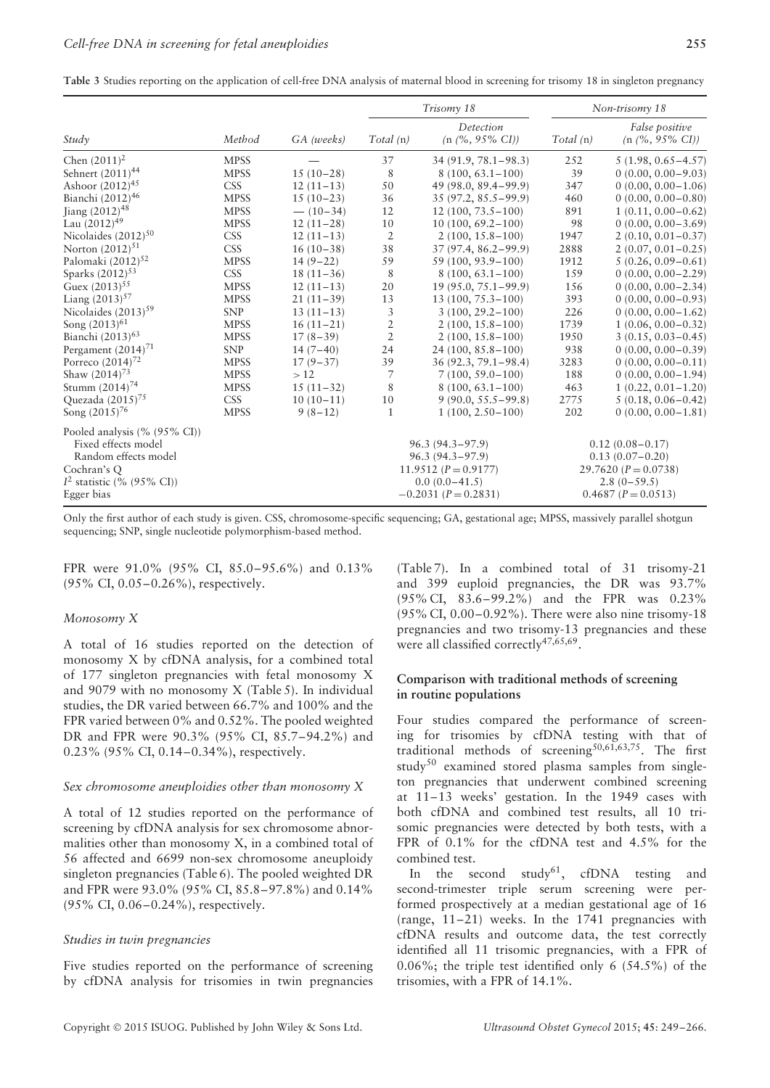**Table 3** Studies reporting on the application of cell-free DNA analysis of maternal blood in screening for trisomy 18 in singleton pregnancy

|                                                                             |             |             |                | Trisomy 18                                      |          | Non-trisomy 18                           |
|-----------------------------------------------------------------------------|-------------|-------------|----------------|-------------------------------------------------|----------|------------------------------------------|
| Study                                                                       | Method      | GA (weeks)  | Total(n)       | Detection<br>$(n \frac{9}{6}, 95\% \text{ CI})$ | Total(n) | False positive<br>$(n \ (\%)$ , 95% CI)  |
| Chen $(2011)^2$                                                             | <b>MPSS</b> |             | 37             | $34(91.9, 78.1 - 98.3)$                         | 252      | $5(1.98, 0.65 - 4.57)$                   |
| Sehnert (2011) <sup>44</sup>                                                | <b>MPSS</b> | $15(10-28)$ | 8              | $8(100, 63.1 - 100)$                            | 39       | $0(0.00, 0.00 - 9.03)$                   |
| Ashoor $(2012)^{45}$                                                        | <b>CSS</b>  | $12(11-13)$ | 50             | 49 (98.0, 89.4–99.9)                            | 347      | $0(0.00, 0.00 - 1.06)$                   |
| Bianchi (2012) <sup>46</sup>                                                | <b>MPSS</b> | $15(10-23)$ | 36             | $35(97.2, 85.5 - 99.9)$                         | 460      | $0(0.00, 0.00 - 0.80)$                   |
| Jiang (2012) <sup>48</sup>                                                  | <b>MPSS</b> | $- (10-34)$ | 12             | $12(100, 73.5 - 100)$                           | 891      | $1(0.11, 0.00 - 0.62)$                   |
| Lau $(2012)^{49}$                                                           | <b>MPSS</b> | $12(11-28)$ | 10             | $10(100, 69.2 - 100)$                           | 98       | $0(0.00, 0.00 - 3.69)$                   |
| Nicolaides $(2012)^{50}$                                                    | <b>CSS</b>  | $12(11-13)$ | $\overline{2}$ | $2(100, 15.8 - 100)$                            | 1947     | $2(0.10, 0.01 - 0.37)$                   |
| Norton $(2012)^{51}$                                                        | <b>CSS</b>  | $16(10-38)$ | 38             | $37(97.4, 86.2 - 99.9)$                         | 2888     | $2(0.07, 0.01 - 0.25)$                   |
| Palomaki $(2012)^{52}$                                                      | <b>MPSS</b> | $14(9-22)$  | 59             | 59 (100, 93.9 – 100)                            | 1912     | $5(0.26, 0.09 - 0.61)$                   |
| Sparks $(2012)^{53}$                                                        | <b>CSS</b>  | $18(11-36)$ | 8              | $8(100, 63.1 - 100)$                            | 159      | $0(0.00, 0.00 - 2.29)$                   |
| Guex $(2013)^{55}$                                                          | <b>MPSS</b> | $12(11-13)$ | 20             | $19(95.0, 75.1 - 99.9)$                         | 156      | $0(0.00, 0.00 - 2.34)$                   |
| Liang $(2013)^{57}$                                                         | <b>MPSS</b> | $21(11-39)$ | 13             | $13(100, 75.3 - 100)$                           | 393      | $0(0.00, 0.00 - 0.93)$                   |
| Nicolaides $(2013)^{59}$                                                    | <b>SNP</b>  | $13(11-13)$ | 3              | $3(100, 29.2 - 100)$                            | 226      | $0(0.00, 0.00 - 1.62)$                   |
| Song (2013) <sup>61</sup>                                                   | <b>MPSS</b> | $16(11-21)$ | $\overline{2}$ | $2(100, 15.8 - 100)$                            | 1739     | $1(0.06, 0.00 - 0.32)$                   |
| Bianchi (2013) <sup>63</sup>                                                | <b>MPSS</b> | $17(8-39)$  | $\overline{2}$ | $2(100, 15.8 - 100)$                            | 1950     | $3(0.15, 0.03 - 0.45)$                   |
| Pergament (2014) <sup>71</sup>                                              | <b>SNP</b>  | $14(7-40)$  | 24             | $24(100, 85.8 - 100)$                           | 938      | $0(0.00, 0.00 - 0.39)$                   |
| Porreco $(2014)^{72}$                                                       | <b>MPSS</b> | $17(9-37)$  | 39             | $36(92.3, 79.1 - 98.4)$                         | 3283     | $0(0.00, 0.00 - 0.11)$                   |
| Shaw $(2014)^{73}$                                                          | <b>MPSS</b> | >12         | 7              | $7(100, 59.0 - 100)$                            | 188      | $0(0.00, 0.00 - 1.94)$                   |
| Stumm $(2014)^{74}$                                                         | <b>MPSS</b> | $15(11-32)$ | 8              | $8(100, 63.1 - 100)$                            | 463      | $1(0.22, 0.01-1.20)$                     |
| Quezada (2015) <sup>75</sup>                                                | <b>CSS</b>  | $10(10-11)$ | 10             | $9(90.0, 55.5 - 99.8)$                          | 2775     | $5(0.18, 0.06 - 0.42)$                   |
| Song (2015) <sup>76</sup>                                                   | <b>MPSS</b> | $9(8-12)$   | $\mathbf{1}$   | $1(100, 2.50 - 100)$                            | 202      | $0(0.00, 0.00 - 1.81)$                   |
| Pooled analysis (% (95% CI))<br>Fixed effects model<br>Random effects model |             |             |                | $96.3(94.3 - 97.9)$<br>$96.3(94.3 - 97.9)$      |          | $0.12(0.08 - 0.17)$<br>$0.13(0.07-0.20)$ |
| Cochran's Q                                                                 |             |             |                | 11.9512 $(P = 0.9177)$                          |          | 29.7620 $(P = 0.0738)$                   |
| $I2$ statistic (% (95% CI))                                                 |             |             |                | $0.0(0.0-41.5)$                                 |          | $2.8(0-59.5)$                            |
| Egger bias                                                                  |             |             |                | $-0.2031$ ( $P = 0.2831$ )                      |          | $0.4687 (P = 0.0513)$                    |

Only the first author of each study is given. CSS, chromosome-specific sequencing; GA, gestational age; MPSS, massively parallel shotgun sequencing; SNP, single nucleotide polymorphism-based method.

FPR were 91.0% (95% CI, 85.0–95.6%) and 0.13% (95% CI, 0.05–0.26%), respectively.

#### *Monosomy X*

A total of 16 studies reported on the detection of monosomy X by cfDNA analysis, for a combined total of 177 singleton pregnancies with fetal monosomy X and 9079 with no monosomy X (Table 5). In individual studies, the DR varied between 66.7% and 100% and the FPR varied between 0% and 0.52%. The pooled weighted DR and FPR were 90.3% (95% CI, 85.7–94.2%) and 0.23% (95% CI, 0.14–0.34%), respectively.

## *Sex chromosome aneuploidies other than monosomy X*

A total of 12 studies reported on the performance of screening by cfDNA analysis for sex chromosome abnormalities other than monosomy X, in a combined total of 56 affected and 6699 non-sex chromosome aneuploidy singleton pregnancies (Table 6). The pooled weighted DR and FPR were 93.0% (95% CI, 85.8–97.8%) and 0.14% (95% CI, 0.06–0.24%), respectively.

#### *Studies in twin pregnancies*

Five studies reported on the performance of screening by cfDNA analysis for trisomies in twin pregnancies (Table 7). In a combined total of 31 trisomy-21 and 399 euploid pregnancies, the DR was 93.7% (95% CI, 83.6–99.2%) and the FPR was 0.23% (95% CI, 0.00–0.92%). There were also nine trisomy-18 pregnancies and two trisomy-13 pregnancies and these were all classified correctly<sup>47,65,69</sup>.

# **Comparison with traditional methods of screening in routine populations**

Four studies compared the performance of screening for trisomies by cfDNA testing with that of traditional methods of screening<sup>50,61,63,75</sup>. The first study<sup>50</sup> examined stored plasma samples from singleton pregnancies that underwent combined screening at 11–13 weeks' gestation. In the 1949 cases with both cfDNA and combined test results, all 10 trisomic pregnancies were detected by both tests, with a FPR of 0.1% for the cfDNA test and 4.5% for the combined test.

In the second study<sup>61</sup>, cfDNA testing and second-trimester triple serum screening were performed prospectively at a median gestational age of 16 (range, 11–21) weeks. In the 1741 pregnancies with cfDNA results and outcome data, the test correctly identified all 11 trisomic pregnancies, with a FPR of 0.06%; the triple test identified only 6 (54.5%) of the trisomies, with a FPR of 14.1%.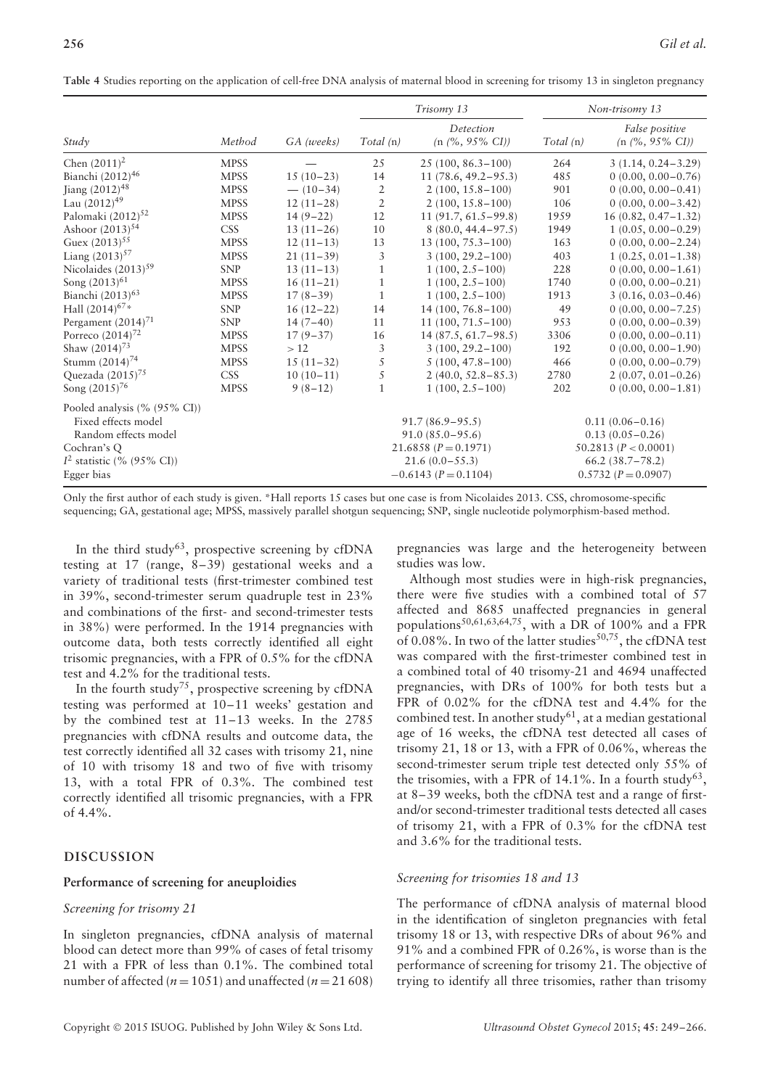|  | Table 4 Studies reporting on the application of cell-free DNA analysis of maternal blood in screening for trisomy 13 in singleton pregnancy |  |
|--|---------------------------------------------------------------------------------------------------------------------------------------------|--|
|--|---------------------------------------------------------------------------------------------------------------------------------------------|--|

|                                |             |             |                | Trisomy 13                 |          | Non-trisomy 13                     |  |  |
|--------------------------------|-------------|-------------|----------------|----------------------------|----------|------------------------------------|--|--|
|                                |             |             |                | Detection                  |          | False positive                     |  |  |
| Study                          | Method      | GA (weeks)  | Total(n)       | $(n \ (\%)$ , 95% CI)      | Total(n) | $(n \frac{9}{6}, 95\% \text{ CI})$ |  |  |
| Chen $(2011)^2$                | <b>MPSS</b> |             | 25             | $25(100, 86.3 - 100)$      | 264      | $3(1.14, 0.24 - 3.29)$             |  |  |
| Bianchi (2012) <sup>46</sup>   | <b>MPSS</b> | $15(10-23)$ | 14             | $11(78.6, 49.2 - 95.3)$    | 485      | $0(0.00, 0.00 - 0.76)$             |  |  |
| Jiang (2012) <sup>48</sup>     | <b>MPSS</b> | $- (10-34)$ | $\mathfrak{2}$ | $2(100, 15.8 - 100)$       | 901      | $0(0.00, 0.00 - 0.41)$             |  |  |
| Lau $(2012)^{49}$              | <b>MPSS</b> | $12(11-28)$ | $\overline{2}$ | $2(100, 15.8 - 100)$       | 106      | $0(0.00, 0.00 - 3.42)$             |  |  |
| Palomaki (2012) <sup>52</sup>  | <b>MPSS</b> | $14(9-22)$  | 12             | $11(91.7, 61.5-99.8)$      | 1959     | $16(0.82, 0.47 - 1.32)$            |  |  |
| Ashoor (2013) <sup>54</sup>    | <b>CSS</b>  | $13(11-26)$ | 10             | $8(80.0, 44.4 - 97.5)$     | 1949     | $1(0.05, 0.00 - 0.29)$             |  |  |
| Guex $(2013)^{55}$             | <b>MPSS</b> | $12(11-13)$ | 13             | 13 (100, 75.3-100)         | 163      | $0(0.00, 0.00 - 2.24)$             |  |  |
| Liang $(2013)^{57}$            | <b>MPSS</b> | $21(11-39)$ | 3              | $3(100, 29.2 - 100)$       | 403      | $1(0.25, 0.01-1.38)$               |  |  |
| Nicolaides $(2013)^{59}$       | <b>SNP</b>  | $13(11-13)$ | 1              | $1(100, 2.5-100)$          | 228      | $0(0.00, 0.00 - 1.61)$             |  |  |
| Song (2013) <sup>61</sup>      | <b>MPSS</b> | $16(11-21)$ | $\mathbf{1}$   | $1(100, 2.5-100)$          | 1740     | $0(0.00, 0.00 - 0.21)$             |  |  |
| Bianchi (2013) <sup>63</sup>   | <b>MPSS</b> | $17(8-39)$  | $\mathbf{1}$   | $1(100, 2.5-100)$          | 1913     | $3(0.16, 0.03 - 0.46)$             |  |  |
| Hall (2014) <sup>67*</sup>     | <b>SNP</b>  | $16(12-22)$ | 14             | $14(100, 76.8 - 100)$      | 49       | $0(0.00, 0.00 - 7.25)$             |  |  |
| Pergament (2014) <sup>71</sup> | <b>SNP</b>  | $14(7-40)$  | 11             | $11(100, 71.5 - 100)$      | 953      | $0(0.00, 0.00 - 0.39)$             |  |  |
| Porreco $(2014)^{72}$          | <b>MPSS</b> | $17(9-37)$  | 16             | $14(87.5, 61.7-98.5)$      | 3306     | $0(0.00, 0.00 - 0.11)$             |  |  |
| Shaw $(2014)^{73}$             | <b>MPSS</b> | >12         | 3              | $3(100, 29.2 - 100)$       | 192      | $0(0.00, 0.00 - 1.90)$             |  |  |
| Stumm $(2014)^{74}$            | <b>MPSS</b> | $15(11-32)$ | 5              | $5(100, 47.8 - 100)$       | 466      | $0(0.00, 0.00 - 0.79)$             |  |  |
| Quezada (2015) <sup>75</sup>   | <b>CSS</b>  | $10(10-11)$ | 5              | $2(40.0, 52.8 - 85.3)$     | 2780     | $2(0.07, 0.01 - 0.26)$             |  |  |
| Song $(2015)^{76}$             | <b>MPSS</b> | $9(8-12)$   | 1              | $1(100, 2.5 - 100)$        | 202      | $0(0.00, 0.00 - 1.81)$             |  |  |
| Pooled analysis (% (95% CI))   |             |             |                |                            |          |                                    |  |  |
| Fixed effects model            |             |             |                | $91.7(86.9 - 95.5)$        |          | $0.11(0.06 - 0.16)$                |  |  |
| Random effects model           |             |             |                | $91.0 (85.0 - 95.6)$       |          | $0.13(0.05 - 0.26)$                |  |  |
| Cochran's Q                    |             |             |                | $21.6858 (P = 0.1971)$     |          | 50.2813 ( $P < 0.0001$ )           |  |  |
| $I^2$ statistic (% (95% CI))   |             |             |                | $21.6(0.0 - 55.3)$         |          | $66.2 (38.7 - 78.2)$               |  |  |
| Egger bias                     |             |             |                | $-0.6143$ ( $P = 0.1104$ ) |          | $0.5732(P=0.0907)$                 |  |  |

Only the first author of each study is given. \*Hall reports 15 cases but one case is from Nicolaides 2013. CSS, chromosome-specific sequencing; GA, gestational age; MPSS, massively parallel shotgun sequencing; SNP, single nucleotide polymorphism-based method.

In the third study<sup>63</sup>, prospective screening by cfDNA testing at 17 (range, 8–39) gestational weeks and a variety of traditional tests (first-trimester combined test in 39%, second-trimester serum quadruple test in 23% and combinations of the first- and second-trimester tests in 38%) were performed. In the 1914 pregnancies with outcome data, both tests correctly identified all eight trisomic pregnancies, with a FPR of 0.5% for the cfDNA test and 4.2% for the traditional tests.

In the fourth study<sup>75</sup>, prospective screening by cfDNA testing was performed at 10–11 weeks' gestation and by the combined test at 11–13 weeks. In the 2785 pregnancies with cfDNA results and outcome data, the test correctly identified all 32 cases with trisomy 21, nine of 10 with trisomy 18 and two of five with trisomy 13, with a total FPR of 0.3%. The combined test correctly identified all trisomic pregnancies, with a FPR of 4.4%.

# **DISCUSSION**

# **Performance of screening for aneuploidies**

# *Screening for trisomy 21*

In singleton pregnancies, cfDNA analysis of maternal blood can detect more than 99% of cases of fetal trisomy 21 with a FPR of less than 0.1%. The combined total number of affected ( $n = 1051$ ) and unaffected ( $n = 21608$ )

pregnancies was large and the heterogeneity between studies was low.

Although most studies were in high-risk pregnancies, there were five studies with a combined total of 57 affected and 8685 unaffected pregnancies in general populations<sup>50,61,63,64,75</sup>, with a DR of 100% and a FPR of 0.08%. In two of the latter studies $^{50,75}$ , the cfDNA test was compared with the first-trimester combined test in a combined total of 40 trisomy-21 and 4694 unaffected pregnancies, with DRs of 100% for both tests but a FPR of 0.02% for the cfDNA test and 4.4% for the combined test. In another study<sup>61</sup>, at a median gestational age of 16 weeks, the cfDNA test detected all cases of trisomy 21, 18 or 13, with a FPR of 0.06%, whereas the second-trimester serum triple test detected only 55% of the trisomies, with a FPR of 14.1%. In a fourth study<sup>63</sup>, at 8–39 weeks, both the cfDNA test and a range of firstand/or second-trimester traditional tests detected all cases of trisomy 21, with a FPR of 0.3% for the cfDNA test and 3.6% for the traditional tests.

# *Screening for trisomies 18 and 13*

The performance of cfDNA analysis of maternal blood in the identification of singleton pregnancies with fetal trisomy 18 or 13, with respective DRs of about 96% and 91% and a combined FPR of 0.26%, is worse than is the performance of screening for trisomy 21. The objective of trying to identify all three trisomies, rather than trisomy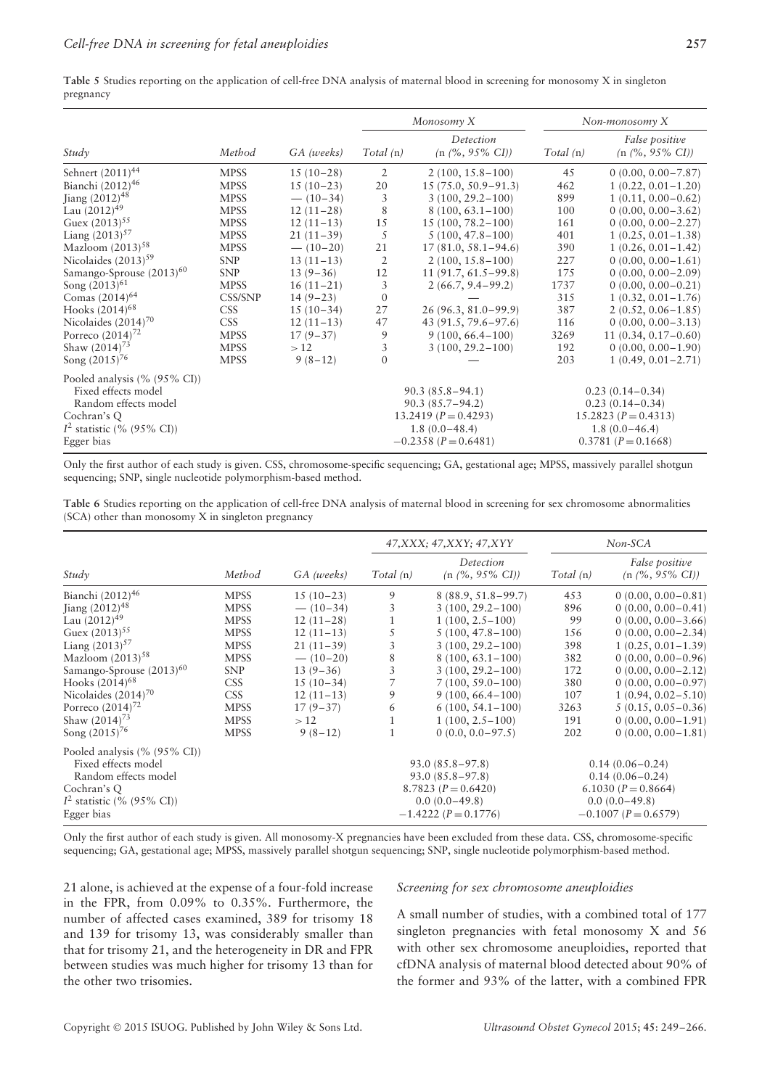| Table 5 Studies reporting on the application of cell-free DNA analysis of maternal blood in screening for monosomy X in singleton |  |
|-----------------------------------------------------------------------------------------------------------------------------------|--|
| pregnancy                                                                                                                         |  |

|                                      |             |             |                | Monosomy X                           |           | Non-monosomy $X$                     |
|--------------------------------------|-------------|-------------|----------------|--------------------------------------|-----------|--------------------------------------|
| Study                                | Method      | GA (weeks)  | Total(n)       | Detection<br>$(n \ (\%, 95\% \ CI))$ | Total (n) | False positive<br>$(n (%, 95\% CI))$ |
| Sehnert (2011) <sup>44</sup>         | <b>MPSS</b> | $15(10-28)$ | $\overline{2}$ | $2(100, 15.8 - 100)$                 | 45        | $0(0.00, 0.00 - 7.87)$               |
| Bianchi (2012) <sup>46</sup>         | <b>MPSS</b> | $15(10-23)$ | 20             | $15(75.0, 50.9 - 91.3)$              | 462       | $1(0.22, 0.01-1.20)$                 |
| Jiang $(2012)^{48}$                  | <b>MPSS</b> | $- (10-34)$ | 3              | $3(100, 29.2 - 100)$                 | 899       | $1(0.11, 0.00 - 0.62)$               |
| Lau $(2012)^{49}$                    | <b>MPSS</b> | $12(11-28)$ | 8              | $8(100, 63.1 - 100)$                 | 100       | $0(0.00, 0.00 - 3.62)$               |
| Guex $(2013)^{55}$                   | <b>MPSS</b> | $12(11-13)$ | 15             | $15(100, 78.2 - 100)$                | 161       | $0(0.00, 0.00 - 2.27)$               |
| Liang $(2013)^{57}$                  | <b>MPSS</b> | $21(11-39)$ | 5              | $5(100, 47.8 - 100)$                 | 401       | $1(0.25, 0.01-1.38)$                 |
| Mazloom $(2013)^{58}$                | <b>MPSS</b> | $- (10-20)$ | 21             | $17(81.0, 58.1 - 94.6)$              | 390       | $1(0.26, 0.01-1.42)$                 |
| Nicolaides $(2013)^{59}$             | <b>SNP</b>  | $13(11-13)$ | $\overline{2}$ | $2(100, 15.8 - 100)$                 | 227       | $0(0.00, 0.00 - 1.61)$               |
| Samango-Sprouse (2013) <sup>60</sup> | <b>SNP</b>  | $13(9-36)$  | 12             | $11(91.7, 61.5-99.8)$                | 175       | $0(0.00, 0.00 - 2.09)$               |
| Song $(2013)^{61}$                   | <b>MPSS</b> | $16(11-21)$ | 3              | $2(66.7, 9.4-99.2)$                  | 1737      | $0(0.00, 0.00 - 0.21)$               |
| Comas $(2014)^{64}$                  | CSS/SNP     | $14(9-23)$  | $\Omega$       |                                      | 315       | $1(0.32, 0.01-1.76)$                 |
| Hooks $(2014)^{68}$                  | <b>CSS</b>  | $15(10-34)$ | 27             | $26(96.3, 81.0 - 99.9)$              | 387       | $2(0.52, 0.06-1.85)$                 |
| Nicolaides $(2014)^{70}$             | <b>CSS</b>  | $12(11-13)$ | 47             | 43 (91.5, 79.6–97.6)                 | 116       | $0(0.00, 0.00 - 3.13)$               |
| Porreco $(2014)^{72}$                | <b>MPSS</b> | $17(9-37)$  | 9              | $9(100, 66.4 - 100)$                 | 3269      | $11(0.34, 0.17 - 0.60)$              |
| Shaw $(2014)^{73}$                   | <b>MPSS</b> | >12         | 3              | $3(100, 29.2 - 100)$                 | 192       | $0(0.00, 0.00 - 1.90)$               |
| Song (2015) <sup>76</sup>            | <b>MPSS</b> | $9(8-12)$   | $\Omega$       |                                      | 203       | $1(0.49, 0.01 - 2.71)$               |
| Pooled analysis $(\% (95\% CI))$     |             |             |                |                                      |           |                                      |
| Fixed effects model                  |             |             |                | $90.3(85.8 - 94.1)$                  |           | $0.23(0.14-0.34)$                    |
| Random effects model                 |             |             |                | $90.3(85.7 - 94.2)$                  |           | $0.23(0.14 - 0.34)$                  |
| Cochran's Q                          |             |             |                | $13.2419 (P = 0.4293)$               |           | $15.2823 (P = 0.4313)$               |
| $I^2$ statistic (% (95% CI))         |             |             |                | $1.8(0.0-48.4)$                      |           | $1.8(0.0-46.4)$                      |
| Egger bias                           |             |             |                | $-0.2358$ ( $P = 0.6481$ )           |           | $0.3781 (P = 0.1668)$                |

Only the first author of each study is given. CSS, chromosome-specific sequencing; GA, gestational age; MPSS, massively parallel shotgun sequencing; SNP, single nucleotide polymorphism-based method.

| <b>Table 6</b> Studies reporting on the application of cell-free DNA analysis of maternal blood in screening for sex chromosome abnormalities |  |  |  |
|-----------------------------------------------------------------------------------------------------------------------------------------------|--|--|--|
| (SCA) other than monosomy X in singleton pregnancy                                                                                            |  |  |  |

|                                                                                                                                              |                  |             |              | 47, XXX; 47, XXY; 47, XYY                                                                                     |          | $Non-SCA$                                                                                                          |
|----------------------------------------------------------------------------------------------------------------------------------------------|------------------|-------------|--------------|---------------------------------------------------------------------------------------------------------------|----------|--------------------------------------------------------------------------------------------------------------------|
| Study                                                                                                                                        | Method           | GA (weeks)  | Total(n)     | Detection<br>$(n \ (\%, 95\% \ CI))$                                                                          | Total(n) | False positive<br>$(n \ (\%, 95\% \ CI))$                                                                          |
| Bianchi (2012) <sup>46</sup>                                                                                                                 | <b>MPSS</b>      | $15(10-23)$ | 9            | $8(88.9, 51.8-99.7)$                                                                                          | 453      | $0(0.00, 0.00 - 0.81)$                                                                                             |
| Jiang $(2012)^{48}$                                                                                                                          | <b>MPSS</b>      | $- (10-34)$ | 3            | $3(100, 29.2 - 100)$                                                                                          | 896      | $0(0.00, 0.00 - 0.41)$                                                                                             |
| Lau $(2012)^{49}$                                                                                                                            | <b>MPSS</b>      | $12(11-28)$ | 1            | $1(100, 2.5-100)$                                                                                             | 99       | $0(0.00, 0.00 - 3.66)$                                                                                             |
| Guex $(2013)^{55}$                                                                                                                           | <b>MPSS</b>      | $12(11-13)$ | 5            | $5(100, 47.8 - 100)$                                                                                          | 156      | $0(0.00, 0.00 - 2.34)$                                                                                             |
| Liang $(2013)^{57}$                                                                                                                          | <b>MPSS</b>      | $21(11-39)$ | 3            | $3(100, 29.2 - 100)$                                                                                          | 398      | $1(0.25, 0.01-1.39)$                                                                                               |
| Mazloom $(2013)^{58}$                                                                                                                        | <b>MPSS</b>      | $- (10-20)$ | 8            | $8(100, 63.1 - 100)$                                                                                          | 382      | $0(0.00, 0.00 - 0.96)$                                                                                             |
| Samango-Sprouse $(2013)^{60}$                                                                                                                | <b>SNP</b>       | $13(9-36)$  | 3            | $3(100, 29.2 - 100)$                                                                                          | 172      | $0(0.00, 0.00 - 2.12)$                                                                                             |
| Hooks $(2014)^{68}$                                                                                                                          | CSS <sup>-</sup> | $15(10-34)$ |              | $7(100, 59.0 - 100)$                                                                                          | 380      | $0(0.00, 0.00 - 0.97)$                                                                                             |
| Nicolaides $(2014)^{70}$                                                                                                                     | <b>CSS</b>       | $12(11-13)$ | 9            | $9(100, 66.4 - 100)$                                                                                          | 107      | $1(0.94, 0.02 - 5.10)$                                                                                             |
| Porreco $(2014)^{72}$                                                                                                                        | <b>MPSS</b>      | $17(9-37)$  | 6            | $6(100, 54.1 - 100)$                                                                                          | 3263     | $5(0.15, 0.05 - 0.36)$                                                                                             |
| Shaw $(2014)^{73}$                                                                                                                           | <b>MPSS</b>      | >12         | $\mathbf{1}$ | $1(100, 2.5-100)$                                                                                             | 191      | $0(0.00, 0.00 - 1.91)$                                                                                             |
| Song $(2015)^{76}$                                                                                                                           | <b>MPSS</b>      | $9(8-12)$   | $\mathbf{1}$ | $0(0.0, 0.0 - 97.5)$                                                                                          | 202      | $0(0.00, 0.00 - 1.81)$                                                                                             |
| Pooled analysis $(\% (95\% CI))$<br>Fixed effects model<br>Random effects model<br>Cochran's Q<br>$I^2$ statistic (% (95% CI))<br>Egger bias |                  |             |              | $93.0(85.8 - 97.8)$<br>$93.0(85.8 - 97.8)$<br>$8.7823 (P = 0.6420)$<br>$0.0(0.0-49.8)$<br>$-1.4222(P=0.1776)$ |          | $0.14(0.06 - 0.24)$<br>$0.14(0.06 - 0.24)$<br>6.1030 ( $P = 0.8664$ )<br>$0.0(0.0-49.8)$<br>$-0.1007 (P = 0.6579)$ |

Only the first author of each study is given. All monosomy-X pregnancies have been excluded from these data. CSS, chromosome-specific sequencing; GA, gestational age; MPSS, massively parallel shotgun sequencing; SNP, single nucleotide polymorphism-based method.

21 alone, is achieved at the expense of a four-fold increase in the FPR, from 0.09% to 0.35%. Furthermore, the number of affected cases examined, 389 for trisomy 18 and 139 for trisomy 13, was considerably smaller than that for trisomy 21, and the heterogeneity in DR and FPR between studies was much higher for trisomy 13 than for the other two trisomies.

#### *Screening for sex chromosome aneuploidies*

A small number of studies, with a combined total of 177 singleton pregnancies with fetal monosomy X and 56 with other sex chromosome aneuploidies, reported that cfDNA analysis of maternal blood detected about 90% of the former and 93% of the latter, with a combined FPR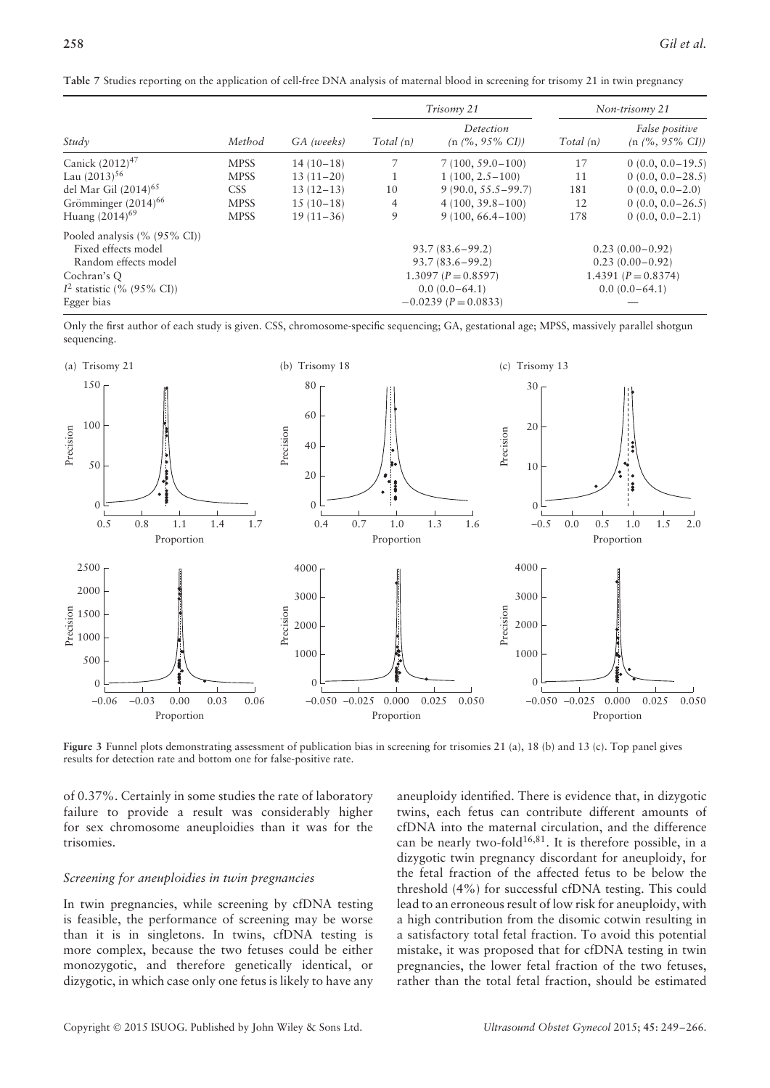|  |  | Table 7 Studies reporting on the application of cell-free DNA analysis of maternal blood in screening for trisomy 21 in twin pregnancy |  |  |
|--|--|----------------------------------------------------------------------------------------------------------------------------------------|--|--|
|--|--|----------------------------------------------------------------------------------------------------------------------------------------|--|--|

|                                                                                                                                          |             | GA (weeks)  |                | Trisomy 21                                                                                                           | Non-trisomy 21 |                                                                                      |  |
|------------------------------------------------------------------------------------------------------------------------------------------|-------------|-------------|----------------|----------------------------------------------------------------------------------------------------------------------|----------------|--------------------------------------------------------------------------------------|--|
| Study                                                                                                                                    | Method      |             | Total(n)       | Detection<br>$(n \frac{9}{6}, 95\% \text{ CI})$                                                                      | Total (n)      | False positive<br>$(n \frac{9}{6}, 95\% \text{ CI})$                                 |  |
| Canick $(2012)^{47}$                                                                                                                     | <b>MPSS</b> | $14(10-18)$ | 7              | $7(100, 59.0 - 100)$                                                                                                 | 17             | $0(0.0, 0.0 - 19.5)$                                                                 |  |
| Lau $(2013)^{56}$                                                                                                                        | <b>MPSS</b> | $13(11-20)$ | - 1            | $1(100, 2.5-100)$                                                                                                    | 11             | $0(0.0, 0.0 - 28.5)$                                                                 |  |
| del Mar Gil (2014) <sup>65</sup>                                                                                                         | <b>CSS</b>  | $13(12-13)$ | 10             | $9(90.0, 55.5 - 99.7)$                                                                                               | 181            | $0(0.0, 0.0-2.0)$                                                                    |  |
| Grömminger (2014) <sup>66</sup>                                                                                                          | <b>MPSS</b> | $15(10-18)$ | $\overline{4}$ | $4(100, 39.8 - 100)$                                                                                                 | 12             | $0(0.0, 0.0 - 26.5)$                                                                 |  |
| Huang $(2014)^{69}$                                                                                                                      | <b>MPSS</b> | $19(11-36)$ | 9              | $9(100, 66.4 - 100)$                                                                                                 | 178            | $0(0.0, 0.0 - 2.1)$                                                                  |  |
| Pooled analysis (% (95% CI))<br>Fixed effects model<br>Random effects model<br>Cochran's Q<br>$I^2$ statistic (% (95% CI))<br>Egger bias |             |             |                | $93.7(83.6 - 99.2)$<br>$93.7(83.6 - 99.2)$<br>$1.3097 (P = 0.8597)$<br>$0.0(0.0-64.1)$<br>$-0.0239$ ( $P = 0.0833$ ) |                | $0.23(0.00-0.92)$<br>$0.23(0.00-0.92)$<br>1.4391 ( $P = 0.8374$ )<br>$0.0(0.0-64.1)$ |  |

Only the first author of each study is given. CSS, chromosome-specific sequencing; GA, gestational age; MPSS, massively parallel shotgun sequencing.



**Figure 3** Funnel plots demonstrating assessment of publication bias in screening for trisomies 21 (a), 18 (b) and 13 (c). Top panel gives results for detection rate and bottom one for false-positive rate.

of 0.37%. Certainly in some studies the rate of laboratory failure to provide a result was considerably higher for sex chromosome aneuploidies than it was for the trisomies.

#### *Screening for aneuploidies in twin pregnancies*

In twin pregnancies, while screening by cfDNA testing is feasible, the performance of screening may be worse than it is in singletons. In twins, cfDNA testing is more complex, because the two fetuses could be either monozygotic, and therefore genetically identical, or dizygotic, in which case only one fetus is likely to have any

aneuploidy identified. There is evidence that, in dizygotic twins, each fetus can contribute different amounts of cfDNA into the maternal circulation, and the difference can be nearly two-fold<sup>16,81</sup>. It is therefore possible, in a dizygotic twin pregnancy discordant for aneuploidy, for the fetal fraction of the affected fetus to be below the threshold (4%) for successful cfDNA testing. This could lead to an erroneous result of low risk for aneuploidy, with a high contribution from the disomic cotwin resulting in a satisfactory total fetal fraction. To avoid this potential mistake, it was proposed that for cfDNA testing in twin pregnancies, the lower fetal fraction of the two fetuses, rather than the total fetal fraction, should be estimated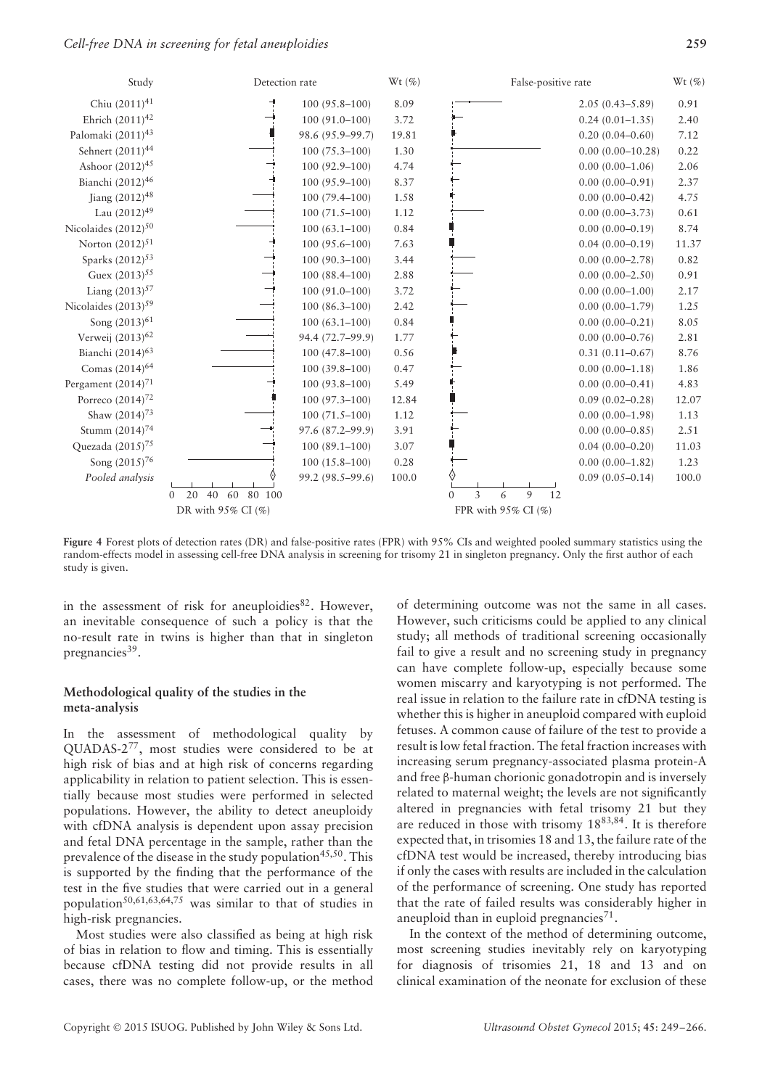

**Figure 4** Forest plots of detection rates (DR) and false-positive rates (FPR) with 95% CIs and weighted pooled summary statistics using the random-effects model in assessing cell-free DNA analysis in screening for trisomy 21 in singleton pregnancy. Only the first author of each study is given.

in the assessment of risk for aneuploidies $82$ . However, an inevitable consequence of such a policy is that the no-result rate in twins is higher than that in singleton pregnancies<sup>39</sup>.

# **Methodological quality of the studies in the meta-analysis**

In the assessment of methodological quality by QUADAS-277, most studies were considered to be at high risk of bias and at high risk of concerns regarding applicability in relation to patient selection. This is essentially because most studies were performed in selected populations. However, the ability to detect aneuploidy with cfDNA analysis is dependent upon assay precision and fetal DNA percentage in the sample, rather than the prevalence of the disease in the study population<sup>45,50</sup>. This is supported by the finding that the performance of the test in the five studies that were carried out in a general population<sup>50,61,63,64,75</sup> was similar to that of studies in high-risk pregnancies.

Most studies were also classified as being at high risk of bias in relation to flow and timing. This is essentially because cfDNA testing did not provide results in all cases, there was no complete follow-up, or the method

of determining outcome was not the same in all cases. However, such criticisms could be applied to any clinical study; all methods of traditional screening occasionally fail to give a result and no screening study in pregnancy can have complete follow-up, especially because some women miscarry and karyotyping is not performed. The real issue in relation to the failure rate in cfDNA testing is whether this is higher in aneuploid compared with euploid fetuses. A common cause of failure of the test to provide a result is low fetal fraction. The fetal fraction increases with increasing serum pregnancy-associated plasma protein-A and free β-human chorionic gonadotropin and is inversely related to maternal weight; the levels are not significantly altered in pregnancies with fetal trisomy 21 but they are reduced in those with trisomy 1883,84. It is therefore expected that, in trisomies 18 and 13, the failure rate of the cfDNA test would be increased, thereby introducing bias if only the cases with results are included in the calculation of the performance of screening. One study has reported that the rate of failed results was considerably higher in aneuploid than in euploid pregnancies<sup>71</sup>.

In the context of the method of determining outcome, most screening studies inevitably rely on karyotyping for diagnosis of trisomies 21, 18 and 13 and on clinical examination of the neonate for exclusion of these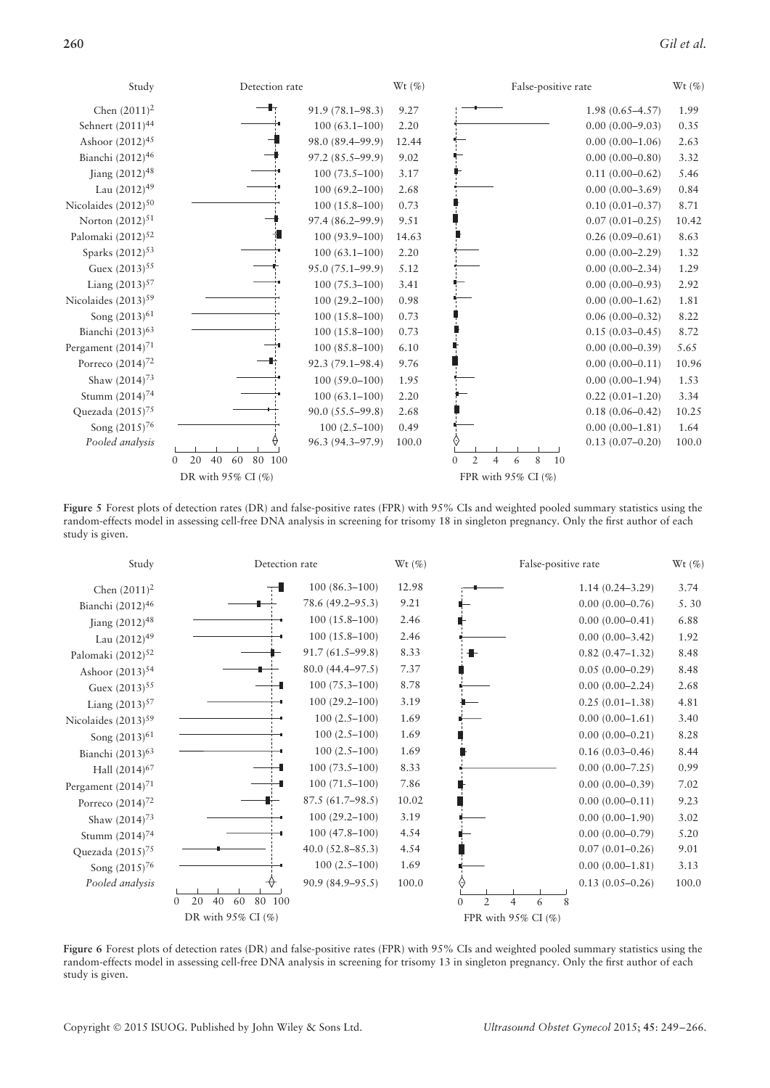## **260** *Gil et al.*

| Study                           | Detection rate                       |                   | Wt(%) | False-positive rate                                          |                     | Wt $(\% )$ |
|---------------------------------|--------------------------------------|-------------------|-------|--------------------------------------------------------------|---------------------|------------|
| Chen $(2011)^2$                 |                                      | 91.9 (78.1-98.3)  | 9.27  |                                                              | $1.98(0.65 - 4.57)$ | 1.99       |
| Sehnert (2011) <sup>44</sup>    |                                      | $100(63.1 - 100)$ | 2.20  |                                                              | $0.00(0.00 - 9.03)$ | 0.35       |
| Ashoor (2012) <sup>45</sup>     |                                      | 98.0 (89.4-99.9)  | 12.44 |                                                              | $0.00(0.00-1.06)$   | 2.63       |
| Bianchi (2012) <sup>46</sup>    |                                      | 97.2 (85.5–99.9)  | 9.02  |                                                              | $0.00(0.00-0.80)$   | 3.32       |
| Jiang (2012) <sup>48</sup>      |                                      | $100(73.5-100)$   | 3.17  |                                                              | $0.11(0.00 - 0.62)$ | 5.46       |
| Lau (2012) <sup>49</sup>        |                                      | $100(69.2 - 100)$ | 2.68  |                                                              | $0.00(0.00-3.69)$   | 0.84       |
| Nicolaides (2012) <sup>50</sup> |                                      | $100(15.8 - 100)$ | 0.73  |                                                              | $0.10(0.01 - 0.37)$ | 8.71       |
| Norton $(2012)^{51}$            |                                      | 97.4 (86.2-99.9)  | 9.51  |                                                              | $0.07(0.01 - 0.25)$ | 10.42      |
| Palomaki (2012) <sup>52</sup>   |                                      | $100(93.9 - 100)$ | 14.63 |                                                              | $0.26(0.09 - 0.61)$ | 8.63       |
| Sparks (2012) <sup>53</sup>     |                                      | $100(63.1 - 100)$ | 2.20  |                                                              | $0.00(0.00-2.29)$   | 1.32       |
| Guex $(2013)^{55}$              |                                      | 95.0 (75.1-99.9)  | 5.12  |                                                              | $0.00(0.00-2.34)$   | 1.29       |
| Liang $(2013)^{57}$             |                                      | $100(75.3 - 100)$ | 3.41  |                                                              | $0.00(0.00 - 0.93)$ | 2.92       |
| Nicolaides (2013) <sup>59</sup> |                                      | $100(29.2 - 100)$ | 0.98  |                                                              | $0.00(0.00 - 1.62)$ | 1.81       |
| Song $(2013)^{61}$              |                                      | $100(15.8 - 100)$ | 0.73  |                                                              | $0.06(0.00-0.32)$   | 8.22       |
| Bianchi (2013) <sup>63</sup>    |                                      | $100(15.8 - 100)$ | 0.73  |                                                              | $0.15(0.03 - 0.45)$ | 8.72       |
| Pergament $(2014)^{71}$         |                                      | $100(85.8-100)$   | 6.10  |                                                              | $0.00(0.00-0.39)$   | 5.65       |
| Porreco $(2014)^{72}$           |                                      | 92.3 (79.1-98.4)  | 9.76  |                                                              | $0.00(0.00 - 0.11)$ | 10.96      |
| Shaw $(2014)^{73}$              |                                      | $100(59.0 - 100)$ | 1.95  |                                                              | $0.00(0.00-1.94)$   | 1.53       |
| Stumm (2014) <sup>74</sup>      |                                      | $100(63.1 - 100)$ | 2.20  |                                                              | $0.22(0.01 - 1.20)$ | 3.34       |
| Quezada (2015) <sup>75</sup>    |                                      | 90.0 (55.5–99.8)  | 2.68  |                                                              | $0.18(0.06 - 0.42)$ | 10.25      |
| Song (2015) <sup>76</sup>       |                                      | $100(2.5-100)$    | 0.49  |                                                              | $0.00(0.00-1.81)$   | 1.64       |
| Pooled analysis                 |                                      | 96.3 (94.3-97.9)  | 100.0 |                                                              | $0.13(0.07-0.20)$   | 100.0      |
|                                 | 20<br>40<br>60<br>80 100<br>$\Omega$ |                   |       | $\overline{2}$<br>8<br>10<br>$\Omega$<br>$\overline{4}$<br>6 |                     |            |
|                                 | DR with $95\%$ CI $(\%)$             |                   |       | FPR with $95\%$ CI (%)                                       |                     |            |

Figure 5 Forest plots of detection rates (DR) and false-positive rates (FPR) with 95% CIs and weighted pooled summary statistics using the random-effects model in assessing cell-free DNA analysis in screening for trisomy 18 in singleton pregnancy. Only the first author of each study is given.



Figure 6 Forest plots of detection rates (DR) and false-positive rates (FPR) with 95% CIs and weighted pooled summary statistics using the random-effects model in assessing cell-free DNA analysis in screening for trisomy 13 in singleton pregnancy. Only the first author of each study is given.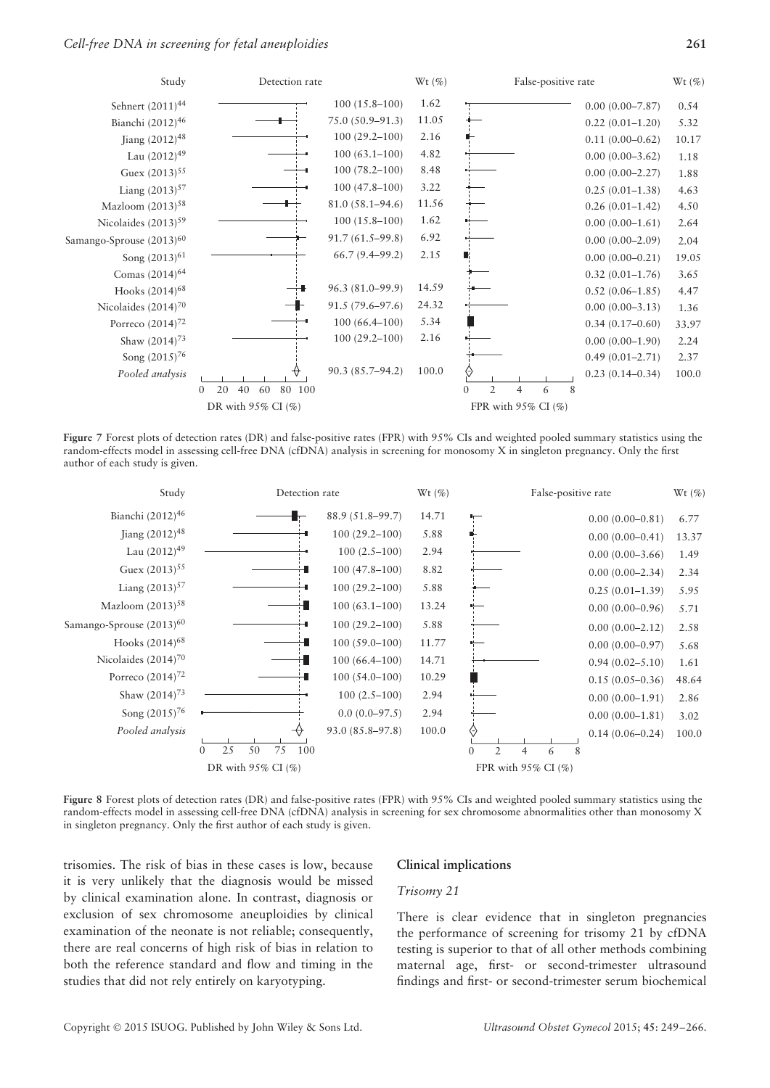

**Figure 7** Forest plots of detection rates (DR) and false-positive rates (FPR) with 95% CIs and weighted pooled summary statistics using the random-effects model in assessing cell-free DNA (cfDNA) analysis in screening for monosomy X in singleton pregnancy. Only the first author of each study is given.



**Figure 8** Forest plots of detection rates (DR) and false-positive rates (FPR) with 95% CIs and weighted pooled summary statistics using the random-effects model in assessing cell-free DNA (cfDNA) analysis in screening for sex chromosome abnormalities other than monosomy X in singleton pregnancy. Only the first author of each study is given.

trisomies. The risk of bias in these cases is low, because it is very unlikely that the diagnosis would be missed by clinical examination alone. In contrast, diagnosis or exclusion of sex chromosome aneuploidies by clinical examination of the neonate is not reliable; consequently, there are real concerns of high risk of bias in relation to both the reference standard and flow and timing in the studies that did not rely entirely on karyotyping.

#### **Clinical implications**

#### *Trisomy 21*

There is clear evidence that in singleton pregnancies the performance of screening for trisomy 21 by cfDNA testing is superior to that of all other methods combining maternal age, first- or second-trimester ultrasound findings and first- or second-trimester serum biochemical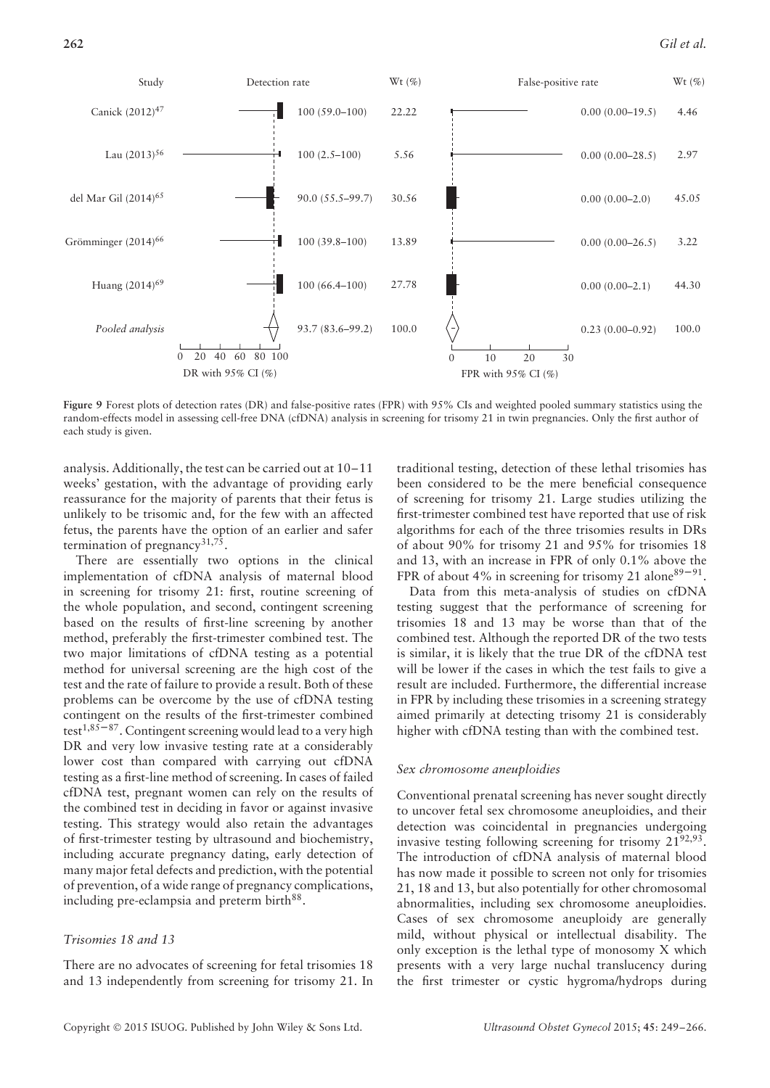

**Figure 9** Forest plots of detection rates (DR) and false-positive rates (FPR) with 95% CIs and weighted pooled summary statistics using the random-effects model in assessing cell-free DNA (cfDNA) analysis in screening for trisomy 21 in twin pregnancies. Only the first author of each study is given.

analysis. Additionally, the test can be carried out at 10–11 weeks' gestation, with the advantage of providing early reassurance for the majority of parents that their fetus is unlikely to be trisomic and, for the few with an affected fetus, the parents have the option of an earlier and safer termination of pregnancy<sup>31,75</sup>.

There are essentially two options in the clinical implementation of cfDNA analysis of maternal blood in screening for trisomy 21: first, routine screening of the whole population, and second, contingent screening based on the results of first-line screening by another method, preferably the first-trimester combined test. The two major limitations of cfDNA testing as a potential method for universal screening are the high cost of the test and the rate of failure to provide a result. Both of these problems can be overcome by the use of cfDNA testing contingent on the results of the first-trimester combined test<sup>1,85–87</sup>. Contingent screening would lead to a very high DR and very low invasive testing rate at a considerably lower cost than compared with carrying out cfDNA testing as a first-line method of screening. In cases of failed cfDNA test, pregnant women can rely on the results of the combined test in deciding in favor or against invasive testing. This strategy would also retain the advantages of first-trimester testing by ultrasound and biochemistry, including accurate pregnancy dating, early detection of many major fetal defects and prediction, with the potential of prevention, of a wide range of pregnancy complications, including pre-eclampsia and preterm birth<sup>88</sup>.

# *Trisomies 18 and 13*

There are no advocates of screening for fetal trisomies 18 and 13 independently from screening for trisomy 21. In traditional testing, detection of these lethal trisomies has been considered to be the mere beneficial consequence of screening for trisomy 21. Large studies utilizing the first-trimester combined test have reported that use of risk algorithms for each of the three trisomies results in DRs of about 90% for trisomy 21 and 95% for trisomies 18 and 13, with an increase in FPR of only 0.1% above the FPR of about 4% in screening for trisomy 21 alone  $89 - 91$ .

Data from this meta-analysis of studies on cfDNA testing suggest that the performance of screening for trisomies 18 and 13 may be worse than that of the combined test. Although the reported DR of the two tests is similar, it is likely that the true DR of the cfDNA test will be lower if the cases in which the test fails to give a result are included. Furthermore, the differential increase in FPR by including these trisomies in a screening strategy aimed primarily at detecting trisomy 21 is considerably higher with cfDNA testing than with the combined test.

#### *Sex chromosome aneuploidies*

Conventional prenatal screening has never sought directly to uncover fetal sex chromosome aneuploidies, and their detection was coincidental in pregnancies undergoing invasive testing following screening for trisomy  $21^{92,93}$ . The introduction of cfDNA analysis of maternal blood has now made it possible to screen not only for trisomies 21, 18 and 13, but also potentially for other chromosomal abnormalities, including sex chromosome aneuploidies. Cases of sex chromosome aneuploidy are generally mild, without physical or intellectual disability. The only exception is the lethal type of monosomy X which presents with a very large nuchal translucency during the first trimester or cystic hygroma/hydrops during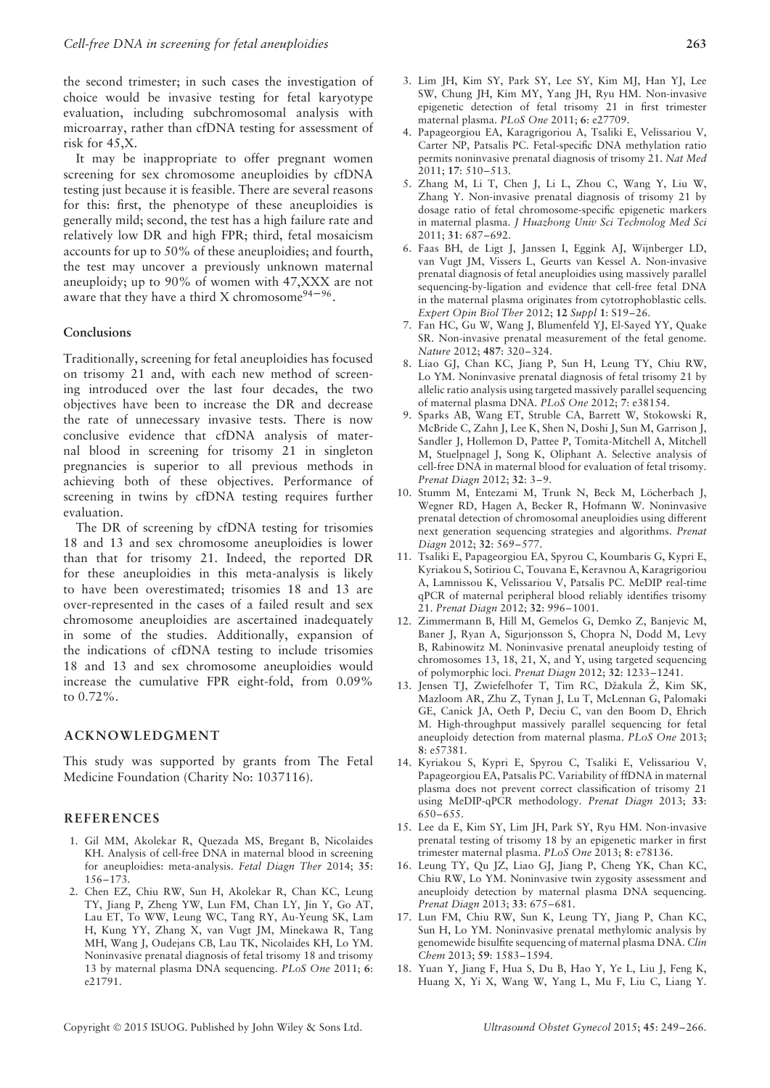the second trimester; in such cases the investigation of choice would be invasive testing for fetal karyotype evaluation, including subchromosomal analysis with microarray, rather than cfDNA testing for assessment of risk for 45,X.

It may be inappropriate to offer pregnant women screening for sex chromosome aneuploidies by cfDNA testing just because it is feasible. There are several reasons for this: first, the phenotype of these aneuploidies is generally mild; second, the test has a high failure rate and relatively low DR and high FPR; third, fetal mosaicism accounts for up to 50% of these aneuploidies; and fourth, the test may uncover a previously unknown maternal aneuploidy; up to 90% of women with 47,XXX are not aware that they have a third X chromosome $94-96$ .

#### **Conclusions**

Traditionally, screening for fetal aneuploidies has focused on trisomy 21 and, with each new method of screening introduced over the last four decades, the two objectives have been to increase the DR and decrease the rate of unnecessary invasive tests. There is now conclusive evidence that cfDNA analysis of maternal blood in screening for trisomy 21 in singleton pregnancies is superior to all previous methods in achieving both of these objectives. Performance of screening in twins by cfDNA testing requires further evaluation.

The DR of screening by cfDNA testing for trisomies 18 and 13 and sex chromosome aneuploidies is lower than that for trisomy 21. Indeed, the reported DR for these aneuploidies in this meta-analysis is likely to have been overestimated; trisomies 18 and 13 are over-represented in the cases of a failed result and sex chromosome aneuploidies are ascertained inadequately in some of the studies. Additionally, expansion of the indications of cfDNA testing to include trisomies 18 and 13 and sex chromosome aneuploidies would increase the cumulative FPR eight-fold, from 0.09% to 0.72%.

#### **ACKNOWLEDGMENT**

This study was supported by grants from The Fetal Medicine Foundation (Charity No: 1037116).

#### **REFERENCES**

- 1. Gil MM, Akolekar R, Quezada MS, Bregant B, Nicolaides KH. Analysis of cell-free DNA in maternal blood in screening for aneuploidies: meta-analysis. *Fetal Diagn Ther* 2014; **35**: 156–173.
- 2. Chen EZ, Chiu RW, Sun H, Akolekar R, Chan KC, Leung TY, Jiang P, Zheng YW, Lun FM, Chan LY, Jin Y, Go AT, Lau ET, To WW, Leung WC, Tang RY, Au-Yeung SK, Lam H, Kung YY, Zhang X, van Vugt JM, Minekawa R, Tang MH, Wang J, Oudejans CB, Lau TK, Nicolaides KH, Lo YM. Noninvasive prenatal diagnosis of fetal trisomy 18 and trisomy 13 by maternal plasma DNA sequencing. *PLoS One* 2011; **6**: e21791.
- 3. Lim JH, Kim SY, Park SY, Lee SY, Kim MJ, Han YJ, Lee SW, Chung JH, Kim MY, Yang JH, Ryu HM. Non-invasive epigenetic detection of fetal trisomy 21 in first trimester maternal plasma. *PLoS One* 2011; **6**: e27709.
- 4. Papageorgiou EA, Karagrigoriou A, Tsaliki E, Velissariou V, Carter NP, Patsalis PC. Fetal-specific DNA methylation ratio permits noninvasive prenatal diagnosis of trisomy 21. *Nat Med* 2011; **17**: 510–513.
- 5. Zhang M, Li T, Chen J, Li L, Zhou C, Wang Y, Liu W, Zhang Y. Non-invasive prenatal diagnosis of trisomy 21 by dosage ratio of fetal chromosome-specific epigenetic markers in maternal plasma. *J Huazhong Univ Sci Technolog Med Sci* 2011; **31**: 687–692.
- 6. Faas BH, de Ligt J, Janssen I, Eggink AJ, Wijnberger LD, van Vugt JM, Vissers L, Geurts van Kessel A. Non-invasive prenatal diagnosis of fetal aneuploidies using massively parallel sequencing-by-ligation and evidence that cell-free fetal DNA in the maternal plasma originates from cytotrophoblastic cells. *Expert Opin Biol Ther* 2012; **12** *Suppl* **1**: S19–26.
- 7. Fan HC, Gu W, Wang J, Blumenfeld YJ, El-Sayed YY, Quake SR. Non-invasive prenatal measurement of the fetal genome. *Nature* 2012; **487**: 320–324.
- 8. Liao GJ, Chan KC, Jiang P, Sun H, Leung TY, Chiu RW, Lo YM. Noninvasive prenatal diagnosis of fetal trisomy 21 by allelic ratio analysis using targeted massively parallel sequencing of maternal plasma DNA. *PLoS One* 2012; **7**: e38154.
- 9. Sparks AB, Wang ET, Struble CA, Barrett W, Stokowski R, McBride C, Zahn J, Lee K, Shen N, Doshi J, Sun M, Garrison J, Sandler J, Hollemon D, Pattee P, Tomita-Mitchell A, Mitchell M, Stuelpnagel J, Song K, Oliphant A. Selective analysis of cell-free DNA in maternal blood for evaluation of fetal trisomy. *Prenat Diagn* 2012; **32**: 3–9.
- 10. Stumm M, Entezami M, Trunk N, Beck M, Löcherbach J, Wegner RD, Hagen A, Becker R, Hofmann W. Noninvasive prenatal detection of chromosomal aneuploidies using different next generation sequencing strategies and algorithms. *Prenat Diagn* 2012; **32**: 569–577.
- 11. Tsaliki E, Papageorgiou EA, Spyrou C, Koumbaris G, Kypri E, Kyriakou S, Sotiriou C, Touvana E, Keravnou A, Karagrigoriou A, Lamnissou K, Velissariou V, Patsalis PC. MeDIP real-time qPCR of maternal peripheral blood reliably identifies trisomy 21. *Prenat Diagn* 2012; **32**: 996–1001.
- 12. Zimmermann B, Hill M, Gemelos G, Demko Z, Banjevic M, Baner J, Ryan A, Sigurjonsson S, Chopra N, Dodd M, Levy B, Rabinowitz M. Noninvasive prenatal aneuploidy testing of chromosomes 13, 18, 21, X, and Y, using targeted sequencing of polymorphic loci. *Prenat Diagn* 2012; **32**: 1233–1241.
- 13. Jensen TJ, Zwiefelhofer T, Tim RC, Džakula Ž, Kim SK, Mazloom AR, Zhu Z, Tynan J, Lu T, McLennan G, Palomaki GE, Canick JA, Oeth P, Deciu C, van den Boom D, Ehrich M. High-throughput massively parallel sequencing for fetal aneuploidy detection from maternal plasma. *PLoS One* 2013; **8**: e57381.
- 14. Kyriakou S, Kypri E, Spyrou C, Tsaliki E, Velissariou V, Papageorgiou EA, Patsalis PC. Variability of ffDNA in maternal plasma does not prevent correct classification of trisomy 21 using MeDIP-qPCR methodology. *Prenat Diagn* 2013; **33**: 650–655.
- 15. Lee da E, Kim SY, Lim JH, Park SY, Ryu HM. Non-invasive prenatal testing of trisomy 18 by an epigenetic marker in first trimester maternal plasma. *PLoS One* 2013; **8**: e78136.
- 16. Leung TY, Qu JZ, Liao GJ, Jiang P, Cheng YK, Chan KC, Chiu RW, Lo YM. Noninvasive twin zygosity assessment and aneuploidy detection by maternal plasma DNA sequencing. *Prenat Diagn* 2013; **33**: 675–681.
- 17. Lun FM, Chiu RW, Sun K, Leung TY, Jiang P, Chan KC, Sun H, Lo YM. Noninvasive prenatal methylomic analysis by genomewide bisulfite sequencing of maternal plasma DNA. *Clin Chem* 2013; **59**: 1583–1594.
- 18. Yuan Y, Jiang F, Hua S, Du B, Hao Y, Ye L, Liu J, Feng K, Huang X, Yi X, Wang W, Yang L, Mu F, Liu C, Liang Y.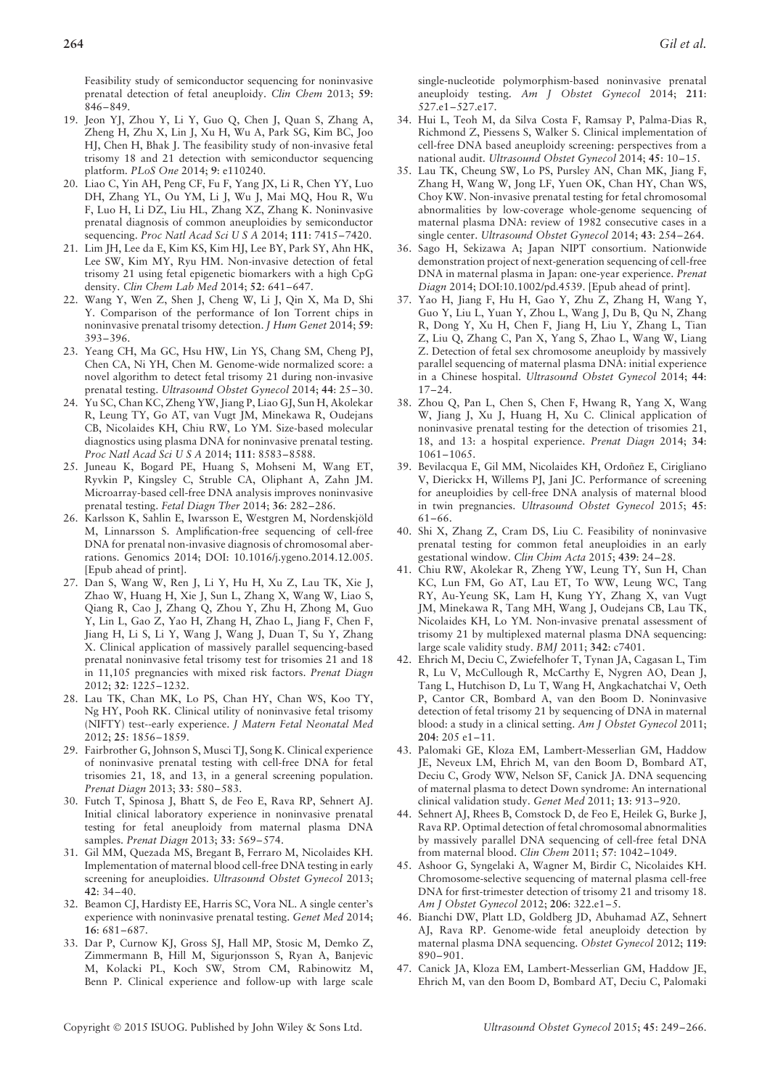Feasibility study of semiconductor sequencing for noninvasive prenatal detection of fetal aneuploidy. *Clin Chem* 2013; **59**: 846–849.

- 19. Jeon YJ, Zhou Y, Li Y, Guo Q, Chen J, Quan S, Zhang A, Zheng H, Zhu X, Lin J, Xu H, Wu A, Park SG, Kim BC, Joo HJ, Chen H, Bhak J. The feasibility study of non-invasive fetal trisomy 18 and 21 detection with semiconductor sequencing platform. *PLoS One* 2014; **9**: e110240.
- 20. Liao C, Yin AH, Peng CF, Fu F, Yang JX, Li R, Chen YY, Luo DH, Zhang YL, Ou YM, Li J, Wu J, Mai MQ, Hou R, Wu F, Luo H, Li DZ, Liu HL, Zhang XZ, Zhang K. Noninvasive prenatal diagnosis of common aneuploidies by semiconductor sequencing. *Proc Natl Acad Sci U S A* 2014; **111**: 7415–7420.
- 21. Lim JH, Lee da E, Kim KS, Kim HJ, Lee BY, Park SY, Ahn HK, Lee SW, Kim MY, Ryu HM. Non-invasive detection of fetal trisomy 21 using fetal epigenetic biomarkers with a high CpG density. *Clin Chem Lab Med* 2014; **52**: 641–647.
- 22. Wang Y, Wen Z, Shen J, Cheng W, Li J, Qin X, Ma D, Shi Y. Comparison of the performance of Ion Torrent chips in noninvasive prenatal trisomy detection. *J Hum Genet* 2014; **59**: 393–396.
- 23. Yeang CH, Ma GC, Hsu HW, Lin YS, Chang SM, Cheng PJ, Chen CA, Ni YH, Chen M. Genome-wide normalized score: a novel algorithm to detect fetal trisomy 21 during non-invasive prenatal testing. *Ultrasound Obstet Gynecol* 2014; **44**: 25–30.
- 24. Yu SC, Chan KC, Zheng YW, Jiang P, Liao GJ, Sun H, Akolekar R, Leung TY, Go AT, van Vugt JM, Minekawa R, Oudejans CB, Nicolaides KH, Chiu RW, Lo YM. Size-based molecular diagnostics using plasma DNA for noninvasive prenatal testing. *Proc Natl Acad Sci U S A* 2014; **111**: 8583–8588.
- 25. Juneau K, Bogard PE, Huang S, Mohseni M, Wang ET, Ryvkin P, Kingsley C, Struble CA, Oliphant A, Zahn JM. Microarray-based cell-free DNA analysis improves noninvasive prenatal testing. *Fetal Diagn Ther* 2014; **36**: 282–286.
- 26. Karlsson K, Sahlin E, Iwarsson E, Westgren M, Nordenskjold ¨ M, Linnarsson S. Amplification-free sequencing of cell-free DNA for prenatal non-invasive diagnosis of chromosomal aberrations. Genomics 2014; DOI: 10.1016/j.ygeno.2014.12.005. [Epub ahead of print].
- 27. Dan S, Wang W, Ren J, Li Y, Hu H, Xu Z, Lau TK, Xie J, Zhao W, Huang H, Xie J, Sun L, Zhang X, Wang W, Liao S, Qiang R, Cao J, Zhang Q, Zhou Y, Zhu H, Zhong M, Guo Y, Lin L, Gao Z, Yao H, Zhang H, Zhao L, Jiang F, Chen F, Jiang H, Li S, Li Y, Wang J, Wang J, Duan T, Su Y, Zhang X. Clinical application of massively parallel sequencing-based prenatal noninvasive fetal trisomy test for trisomies 21 and 18 in 11,105 pregnancies with mixed risk factors. *Prenat Diagn* 2012; **32**: 1225–1232.
- 28. Lau TK, Chan MK, Lo PS, Chan HY, Chan WS, Koo TY, Ng HY, Pooh RK. Clinical utility of noninvasive fetal trisomy (NIFTY) test--early experience. *J Matern Fetal Neonatal Med* 2012; **25**: 1856–1859.
- 29. Fairbrother G, Johnson S, Musci TJ, Song K. Clinical experience of noninvasive prenatal testing with cell-free DNA for fetal trisomies 21, 18, and 13, in a general screening population. *Prenat Diagn* 2013; **33**: 580–583.
- 30. Futch T, Spinosa J, Bhatt S, de Feo E, Rava RP, Sehnert AJ. Initial clinical laboratory experience in noninvasive prenatal testing for fetal aneuploidy from maternal plasma DNA samples. *Prenat Diagn* 2013; **33**: 569–574.
- 31. Gil MM, Quezada MS, Bregant B, Ferraro M, Nicolaides KH. Implementation of maternal blood cell-free DNA testing in early screening for aneuploidies. *Ultrasound Obstet Gynecol* 2013; **42**: 34–40.
- 32. Beamon CJ, Hardisty EE, Harris SC, Vora NL. A single center's experience with noninvasive prenatal testing. *Genet Med* 2014; **16**: 681–687.
- 33. Dar P, Curnow KJ, Gross SJ, Hall MP, Stosic M, Demko Z, Zimmermann B, Hill M, Sigurjonsson S, Ryan A, Banjevic M, Kolacki PL, Koch SW, Strom CM, Rabinowitz M, Benn P. Clinical experience and follow-up with large scale

single-nucleotide polymorphism-based noninvasive prenatal aneuploidy testing. *Am J Obstet Gynecol* 2014; **211**: 527.e1–527.e17.

- 34. Hui L, Teoh M, da Silva Costa F, Ramsay P, Palma-Dias R, Richmond Z, Piessens S, Walker S. Clinical implementation of cell-free DNA based aneuploidy screening: perspectives from a national audit. *Ultrasound Obstet Gynecol* 2014; **45**: 10–15.
- 35. Lau TK, Cheung SW, Lo PS, Pursley AN, Chan MK, Jiang F, Zhang H, Wang W, Jong LF, Yuen OK, Chan HY, Chan WS, Choy KW. Non-invasive prenatal testing for fetal chromosomal abnormalities by low-coverage whole-genome sequencing of maternal plasma DNA: review of 1982 consecutive cases in a single center. *Ultrasound Obstet Gynecol* 2014; **43**: 254–264.
- 36. Sago H, Sekizawa A; Japan NIPT consortium. Nationwide demonstration project of next-generation sequencing of cell-free DNA in maternal plasma in Japan: one-year experience. *Prenat Diagn* 2014; DOI:10.1002/pd.4539. [Epub ahead of print].
- 37. Yao H, Jiang F, Hu H, Gao Y, Zhu Z, Zhang H, Wang Y, Guo Y, Liu L, Yuan Y, Zhou L, Wang J, Du B, Qu N, Zhang R, Dong Y, Xu H, Chen F, Jiang H, Liu Y, Zhang L, Tian Z, Liu Q, Zhang C, Pan X, Yang S, Zhao L, Wang W, Liang Z. Detection of fetal sex chromosome aneuploidy by massively parallel sequencing of maternal plasma DNA: initial experience in a Chinese hospital. *Ultrasound Obstet Gynecol* 2014; **44**: 17–24.
- 38. Zhou Q, Pan L, Chen S, Chen F, Hwang R, Yang X, Wang W, Jiang J, Xu J, Huang H, Xu C. Clinical application of noninvasive prenatal testing for the detection of trisomies 21, 18, and 13: a hospital experience. *Prenat Diagn* 2014; **34**: 1061–1065.
- 39. Bevilacqua E, Gil MM, Nicolaides KH, Ordoñez E, Cirigliano V, Dierickx H, Willems PJ, Jani JC. Performance of screening for aneuploidies by cell-free DNA analysis of maternal blood in twin pregnancies. *Ultrasound Obstet Gynecol* 2015; **45**: 61–66.
- 40. Shi X, Zhang Z, Cram DS, Liu C. Feasibility of noninvasive prenatal testing for common fetal aneuploidies in an early gestational window. *Clin Chim Acta* 2015; **439**: 24–28.
- 41. Chiu RW, Akolekar R, Zheng YW, Leung TY, Sun H, Chan KC, Lun FM, Go AT, Lau ET, To WW, Leung WC, Tang RY, Au-Yeung SK, Lam H, Kung YY, Zhang X, van Vugt JM, Minekawa R, Tang MH, Wang J, Oudejans CB, Lau TK, Nicolaides KH, Lo YM. Non-invasive prenatal assessment of trisomy 21 by multiplexed maternal plasma DNA sequencing: large scale validity study. *BMJ* 2011; **342**: c7401.
- 42. Ehrich M, Deciu C, Zwiefelhofer T, Tynan JA, Cagasan L, Tim R, Lu V, McCullough R, McCarthy E, Nygren AO, Dean J, Tang L, Hutchison D, Lu T, Wang H, Angkachatchai V, Oeth P, Cantor CR, Bombard A, van den Boom D. Noninvasive detection of fetal trisomy 21 by sequencing of DNA in maternal blood: a study in a clinical setting. *Am J Obstet Gynecol* 2011; **204**: 205 e1–11.
- 43. Palomaki GE, Kloza EM, Lambert-Messerlian GM, Haddow JE, Neveux LM, Ehrich M, van den Boom D, Bombard AT, Deciu C, Grody WW, Nelson SF, Canick JA. DNA sequencing of maternal plasma to detect Down syndrome: An international clinical validation study. *Genet Med* 2011; **13**: 913–920.
- 44. Sehnert AJ, Rhees B, Comstock D, de Feo E, Heilek G, Burke J, Rava RP. Optimal detection of fetal chromosomal abnormalities by massively parallel DNA sequencing of cell-free fetal DNA from maternal blood. *Clin Chem* 2011; **57**: 1042–1049.
- 45. Ashoor G, Syngelaki A, Wagner M, Birdir C, Nicolaides KH. Chromosome-selective sequencing of maternal plasma cell-free DNA for first-trimester detection of trisomy 21 and trisomy 18. *Am J Obstet Gynecol* 2012; **206**: 322.e1–5.
- 46. Bianchi DW, Platt LD, Goldberg JD, Abuhamad AZ, Sehnert AJ, Rava RP. Genome-wide fetal aneuploidy detection by maternal plasma DNA sequencing. *Obstet Gynecol* 2012; **119**: 890–901.
- 47. Canick JA, Kloza EM, Lambert-Messerlian GM, Haddow JE, Ehrich M, van den Boom D, Bombard AT, Deciu C, Palomaki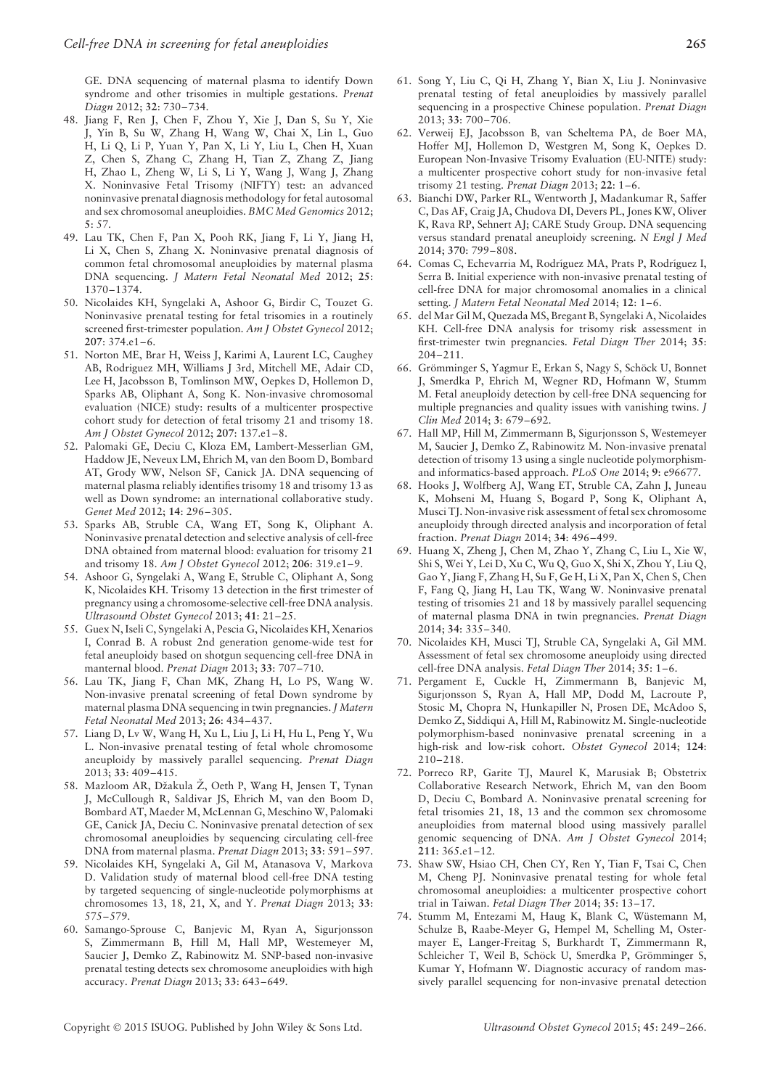GE. DNA sequencing of maternal plasma to identify Down syndrome and other trisomies in multiple gestations. *Prenat Diagn* 2012; **32**: 730–734.

- 48. Jiang F, Ren J, Chen F, Zhou Y, Xie J, Dan S, Su Y, Xie J, Yin B, Su W, Zhang H, Wang W, Chai X, Lin L, Guo H, Li Q, Li P, Yuan Y, Pan X, Li Y, Liu L, Chen H, Xuan Z, Chen S, Zhang C, Zhang H, Tian Z, Zhang Z, Jiang H, Zhao L, Zheng W, Li S, Li Y, Wang J, Wang J, Zhang X. Noninvasive Fetal Trisomy (NIFTY) test: an advanced noninvasive prenatal diagnosis methodology for fetal autosomal and sex chromosomal aneuploidies. *BMC Med Genomics* 2012; **5**: 57.
- 49. Lau TK, Chen F, Pan X, Pooh RK, Jiang F, Li Y, Jiang H, Li X, Chen S, Zhang X. Noninvasive prenatal diagnosis of common fetal chromosomal aneuploidies by maternal plasma DNA sequencing. *J Matern Fetal Neonatal Med* 2012; **25**: 1370–1374.
- 50. Nicolaides KH, Syngelaki A, Ashoor G, Birdir C, Touzet G. Noninvasive prenatal testing for fetal trisomies in a routinely screened first-trimester population. *Am J Obstet Gynecol* 2012; **207**: 374.e1–6.
- 51. Norton ME, Brar H, Weiss J, Karimi A, Laurent LC, Caughey AB, Rodriguez MH, Williams J 3rd, Mitchell ME, Adair CD, Lee H, Jacobsson B, Tomlinson MW, Oepkes D, Hollemon D, Sparks AB, Oliphant A, Song K. Non-invasive chromosomal evaluation (NICE) study: results of a multicenter prospective cohort study for detection of fetal trisomy 21 and trisomy 18. *Am J Obstet Gynecol* 2012; **207**: 137.e1–8.
- 52. Palomaki GE, Deciu C, Kloza EM, Lambert-Messerlian GM, Haddow JE, Neveux LM, Ehrich M, van den Boom D, Bombard AT, Grody WW, Nelson SF, Canick JA. DNA sequencing of maternal plasma reliably identifies trisomy 18 and trisomy 13 as well as Down syndrome: an international collaborative study. *Genet Med* 2012; **14**: 296–305.
- 53. Sparks AB, Struble CA, Wang ET, Song K, Oliphant A. Noninvasive prenatal detection and selective analysis of cell-free DNA obtained from maternal blood: evaluation for trisomy 21 and trisomy 18. *Am J Obstet Gynecol* 2012; **206**: 319.e1–9.
- 54. Ashoor G, Syngelaki A, Wang E, Struble C, Oliphant A, Song K, Nicolaides KH. Trisomy 13 detection in the first trimester of pregnancy using a chromosome-selective cell-free DNA analysis. *Ultrasound Obstet Gynecol* 2013; **41**: 21–25.
- 55. Guex N, Iseli C, Syngelaki A, Pescia G, Nicolaides KH, Xenarios I, Conrad B. A robust 2nd generation genome-wide test for fetal aneuploidy based on shotgun sequencing cell-free DNA in manternal blood. *Prenat Diagn* 2013; **33**: 707–710.
- 56. Lau TK, Jiang F, Chan MK, Zhang H, Lo PS, Wang W. Non-invasive prenatal screening of fetal Down syndrome by maternal plasma DNA sequencing in twin pregnancies.*J Matern Fetal Neonatal Med* 2013; **26**: 434–437.
- 57. Liang D, Lv W, Wang H, Xu L, Liu J, Li H, Hu L, Peng Y, Wu L. Non-invasive prenatal testing of fetal whole chromosome aneuploidy by massively parallel sequencing. *Prenat Diagn* 2013; **33**: 409–415.
- 58. Mazloom AR, Džakula Ž, Oeth P, Wang H, Jensen T, Tynan J, McCullough R, Saldivar JS, Ehrich M, van den Boom D, Bombard AT, Maeder M, McLennan G, Meschino W, Palomaki GE, Canick JA, Deciu C. Noninvasive prenatal detection of sex chromosomal aneuploidies by sequencing circulating cell-free DNA from maternal plasma. *Prenat Diagn* 2013; **33**: 591–597.
- 59. Nicolaides KH, Syngelaki A, Gil M, Atanasova V, Markova D. Validation study of maternal blood cell-free DNA testing by targeted sequencing of single-nucleotide polymorphisms at chromosomes 13, 18, 21, X, and Y. *Prenat Diagn* 2013; **33**: 575–579.
- 60. Samango-Sprouse C, Banjevic M, Ryan A, Sigurjonsson S, Zimmermann B, Hill M, Hall MP, Westemeyer M, Saucier J, Demko Z, Rabinowitz M. SNP-based non-invasive prenatal testing detects sex chromosome aneuploidies with high accuracy. *Prenat Diagn* 2013; **33**: 643–649.
- 61. Song Y, Liu C, Qi H, Zhang Y, Bian X, Liu J. Noninvasive prenatal testing of fetal aneuploidies by massively parallel sequencing in a prospective Chinese population. *Prenat Diagn* 2013; **33**: 700–706.
- 62. Verweij EJ, Jacobsson B, van Scheltema PA, de Boer MA, Hoffer MJ, Hollemon D, Westgren M, Song K, Oepkes D. European Non-Invasive Trisomy Evaluation (EU-NITE) study: a multicenter prospective cohort study for non-invasive fetal trisomy 21 testing. *Prenat Diagn* 2013; **22**: 1–6.
- 63. Bianchi DW, Parker RL, Wentworth J, Madankumar R, Saffer C, Das AF, Craig JA, Chudova DI, Devers PL, Jones KW, Oliver K, Rava RP, Sehnert AJ; CARE Study Group. DNA sequencing versus standard prenatal aneuploidy screening. *N Engl J Med* 2014; **370**: 799–808.
- 64. Comas C, Echevarria M, Rodríguez MA, Prats P, Rodríguez I, Serra B. Initial experience with non-invasive prenatal testing of cell-free DNA for major chromosomal anomalies in a clinical setting. *J Matern Fetal Neonatal Med* 2014; **12**: 1–6.
- 65. del Mar Gil M, Quezada MS, Bregant B, Syngelaki A, Nicolaides KH. Cell-free DNA analysis for trisomy risk assessment in first-trimester twin pregnancies. *Fetal Diagn Ther* 2014; **35**: 204–211.
- 66. Grömminger S, Yagmur E, Erkan S, Nagy S, Schöck U, Bonnet J, Smerdka P, Ehrich M, Wegner RD, Hofmann W, Stumm M. Fetal aneuploidy detection by cell-free DNA sequencing for multiple pregnancies and quality issues with vanishing twins. *J Clin Med* 2014; **3**: 679–692.
- 67. Hall MP, Hill M, Zimmermann B, Sigurjonsson S, Westemeyer M, Saucier J, Demko Z, Rabinowitz M. Non-invasive prenatal detection of trisomy 13 using a single nucleotide polymorphismand informatics-based approach. *PLoS One* 2014; **9**: e96677.
- 68. Hooks J, Wolfberg AJ, Wang ET, Struble CA, Zahn J, Juneau K, Mohseni M, Huang S, Bogard P, Song K, Oliphant A, Musci TJ. Non-invasive risk assessment of fetal sex chromosome aneuploidy through directed analysis and incorporation of fetal fraction. *Prenat Diagn* 2014; **34**: 496–499.
- 69. Huang X, Zheng J, Chen M, Zhao Y, Zhang C, Liu L, Xie W, Shi S, Wei Y, Lei D, Xu C, Wu Q, Guo X, Shi X, Zhou Y, Liu Q, Gao Y, Jiang F, Zhang H, Su F, Ge H, Li X, Pan X, Chen S, Chen F, Fang Q, Jiang H, Lau TK, Wang W. Noninvasive prenatal testing of trisomies 21 and 18 by massively parallel sequencing of maternal plasma DNA in twin pregnancies. *Prenat Diagn* 2014; **34**: 335–340.
- 70. Nicolaides KH, Musci TJ, Struble CA, Syngelaki A, Gil MM. Assessment of fetal sex chromosome aneuploidy using directed cell-free DNA analysis. *Fetal Diagn Ther* 2014; **35**: 1–6.
- 71. Pergament E, Cuckle H, Zimmermann B, Banjevic M, Sigurjonsson S, Ryan A, Hall MP, Dodd M, Lacroute P, Stosic M, Chopra N, Hunkapiller N, Prosen DE, McAdoo S, Demko Z, Siddiqui A, Hill M, Rabinowitz M. Single-nucleotide polymorphism-based noninvasive prenatal screening in a high-risk and low-risk cohort. *Obstet Gynecol* 2014; **124**: 210–218.
- 72. Porreco RP, Garite TJ, Maurel K, Marusiak B; Obstetrix Collaborative Research Network, Ehrich M, van den Boom D, Deciu C, Bombard A. Noninvasive prenatal screening for fetal trisomies 21, 18, 13 and the common sex chromosome aneuploidies from maternal blood using massively parallel genomic sequencing of DNA. *Am J Obstet Gynecol* 2014; **211**: 365.e1–12.
- 73. Shaw SW, Hsiao CH, Chen CY, Ren Y, Tian F, Tsai C, Chen M, Cheng PJ. Noninvasive prenatal testing for whole fetal chromosomal aneuploidies: a multicenter prospective cohort trial in Taiwan. *Fetal Diagn Ther* 2014; **35**: 13–17.
- 74. Stumm M, Entezami M, Haug K, Blank C, Wüstemann M, Schulze B, Raabe-Meyer G, Hempel M, Schelling M, Ostermayer E, Langer-Freitag S, Burkhardt T, Zimmermann R, Schleicher T, Weil B, Schöck U, Smerdka P, Grömminger S, Kumar Y, Hofmann W. Diagnostic accuracy of random massively parallel sequencing for non-invasive prenatal detection